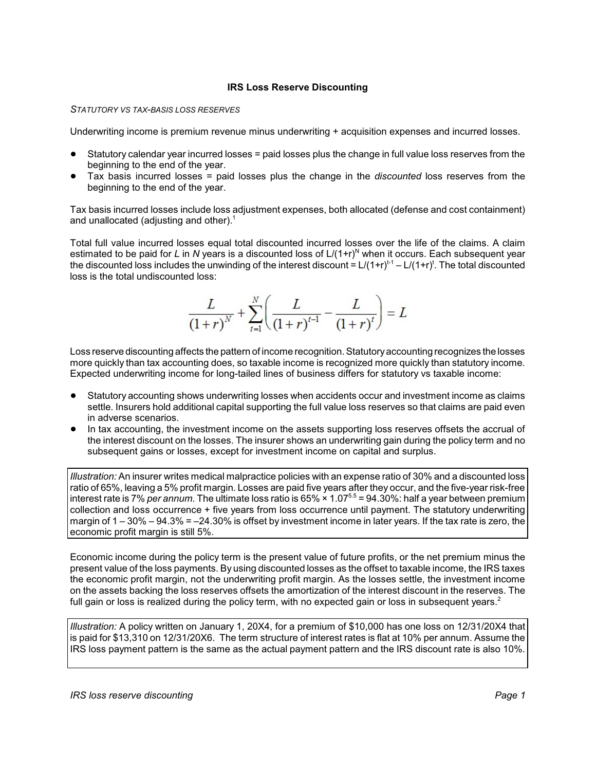## **IRS Loss Reserve Discounting**

#### *STATUTORY VS TAX-BASIS LOSS RESERVES*

Underwriting income is premium revenue minus underwriting + acquisition expenses and incurred losses.

- ! Statutory calendar year incurred losses = paid losses plus the change in full value loss reserves from the beginning to the end of the year.
- ! Tax basis incurred losses = paid losses plus the change in the *discounted* loss reserves from the beginning to the end of the year.

Tax basis incurred losses include loss adjustment expenses, both allocated (defense and cost containment) and unallocated (adjusting and other).<sup>1</sup>

Total full value incurred losses equal total discounted incurred losses over the life of the claims. A claim estimated to be paid for *L* in *N* years is a discounted loss of  $L/(1+r)^N$  when it occurs. Each subsequent year the discounted loss includes the unwinding of the interest discount = L/(1+r)<sup>t-1</sup> – L/(1+r)<sup>t</sup>. The total discounted loss is the total undiscounted loss:

$$
\frac{L}{(1+r)^{N}} + \sum_{t=1}^{N} \left( \frac{L}{(1+r)^{t-1}} - \frac{L}{(1+r)^{t}} \right) = L
$$

Loss reserve discounting affects the pattern of income recognition. Statutoryaccounting recognizes the losses more quickly than tax accounting does, so taxable income is recognized more quickly than statutory income. Expected underwriting income for long-tailed lines of business differs for statutory vs taxable income:

- Statutory accounting shows underwriting losses when accidents occur and investment income as claims settle. Insurers hold additional capital supporting the full value loss reserves so that claims are paid even in adverse scenarios.
- In tax accounting, the investment income on the assets supporting loss reserves offsets the accrual of the interest discount on the losses. The insurer shows an underwriting gain during the policy term and no subsequent gains or losses, except for investment income on capital and surplus.

*Illustration:* An insurer writes medical malpractice policies with an expense ratio of 30% and a discounted loss ratio of 65%, leaving a 5% profit margin. Losses are paid five years after they occur, and the five-year risk-free interest rate is 7% *per annum*. The ultimate loss ratio is 65% × 1.07<sup>5.5</sup> = 94.30%: half a year between premium collection and loss occurrence + five years from loss occurrence until payment. The statutory underwriting margin of 1 – 30% – 94.3% = –24.30% is offset by investment income in later years. If the tax rate is zero, the economic profit margin is still 5%.

Economic income during the policy term is the present value of future profits, or the net premium minus the present value of the loss payments. By using discounted losses as the offset to taxable income, the IRS taxes the economic profit margin, not the underwriting profit margin. As the losses settle, the investment income on the assets backing the loss reserves offsets the amortization of the interest discount in the reserves. The full gain or loss is realized during the policy term, with no expected gain or loss in subsequent years.<sup>2</sup>

*Illustration:* A policy written on January 1, 20X4, for a premium of \$10,000 has one loss on 12/31/20X4 that is paid for \$13,310 on 12/31/20X6. The term structure of interest rates is flat at 10% per annum. Assume the IRS loss payment pattern is the same as the actual payment pattern and the IRS discount rate is also 10%.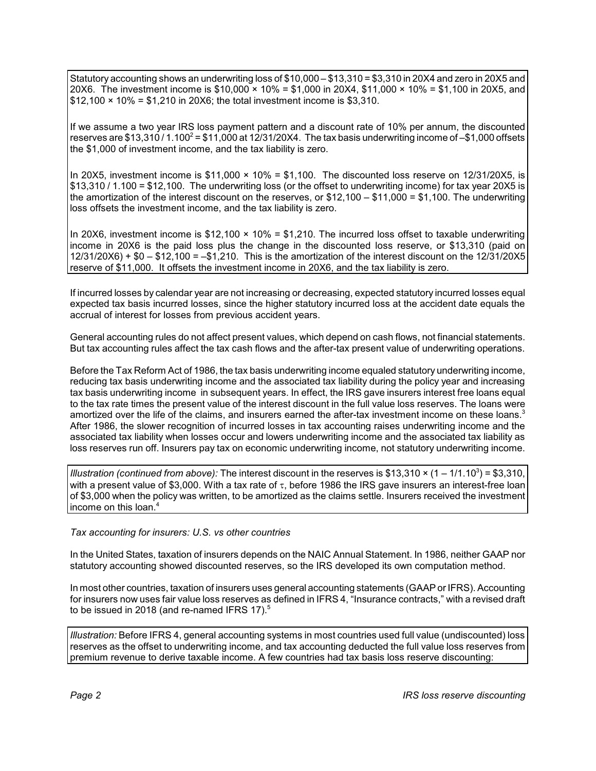Statutory accounting shows an underwriting loss of \$10,000 – \$13,310 = \$3,310 in 20X4 and zero in 20X5 and 20X6. The investment income is \$10,000  $\times$  10% = \$1,000 in 20X4, \$11,000  $\times$  10% = \$1,100 in 20X5, and  $$12,100 \times 10\% = $1,210$  in 20X6; the total investment income is \$3,310.

If we assume a two year IRS loss payment pattern and a discount rate of 10% per annum, the discounted reserves are  $$13,310/1.100^2 = $11,000$  at  $12/31/20X4$ . The tax basis underwriting income of -\$1,000 offsets the \$1,000 of investment income, and the tax liability is zero.

In 20X5, investment income is  $$11,000 \times 10\% = $1,100$ . The discounted loss reserve on 12/31/20X5, is \$13,310 / 1.100 = \$12,100. The underwriting loss (or the offset to underwriting income) for tax year 20X5 is the amortization of the interest discount on the reserves, or \$12,100 – \$11,000 = \$1,100. The underwriting loss offsets the investment income, and the tax liability is zero.

In 20X6, investment income is \$12,100  $\times$  10% = \$1,210. The incurred loss offset to taxable underwriting income in 20X6 is the paid loss plus the change in the discounted loss reserve, or \$13,310 (paid on 12/31/20X6) + \$0 – \$12,100 = –\$1,210. This is the amortization of the interest discount on the 12/31/20X5 reserve of \$11,000. It offsets the investment income in 20X6, and the tax liability is zero.

If incurred losses by calendar year are not increasing or decreasing, expected statutory incurred losses equal expected tax basis incurred losses, since the higher statutory incurred loss at the accident date equals the accrual of interest for losses from previous accident years.

General accounting rules do not affect present values, which depend on cash flows, not financial statements. But tax accounting rules affect the tax cash flows and the after-tax present value of underwriting operations.

Before the Tax Reform Act of 1986, the tax basis underwriting income equaled statutory underwriting income, reducing tax basis underwriting income and the associated tax liability during the policy year and increasing tax basis underwriting income in subsequent years. In effect, the IRS gave insurers interest free loans equal to the tax rate times the present value of the interest discount in the full value loss reserves. The loans were amortized over the life of the claims, and insurers earned the after-tax investment income on these loans. $^3$ After 1986, the slower recognition of incurred losses in tax accounting raises underwriting income and the associated tax liability when losses occur and lowers underwriting income and the associated tax liability as loss reserves run off. Insurers pay tax on economic underwriting income, not statutory underwriting income.

*Illustration (continued from above):* The interest discount in the reserves is \$13,310  $\times$  (1 – 1/1.10<sup>3</sup>) = \$3,310, with a present value of \$3,000. With a tax rate of  $\tau$ , before 1986 the IRS gave insurers an interest-free loan of \$3,000 when the policy was written, to be amortized as the claims settle. Insurers received the investment income on this loan.4

*Tax accounting for insurers: U.S. vs other countries*

In the United States, taxation of insurers depends on the NAIC Annual Statement. In 1986, neither GAAP nor statutory accounting showed discounted reserves, so the IRS developed its own computation method.

In most other countries, taxation of insurers uses general accounting statements (GAAP or IFRS). Accounting for insurers now uses fair value loss reserves as defined in IFRS 4, "Insurance contracts," with a revised draft to be issued in 2018 (and re-named IFRS 17). $5$ 

*Illustration:* Before IFRS 4, general accounting systems in most countries used full value (undiscounted) loss reserves as the offset to underwriting income, and tax accounting deducted the full value loss reserves from premium revenue to derive taxable income. A few countries had tax basis loss reserve discounting: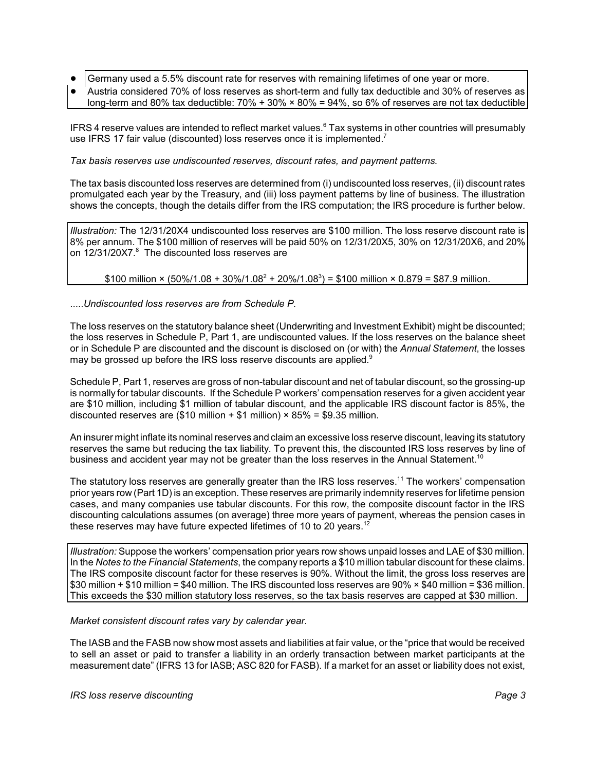- Germany used a 5.5% discount rate for reserves with remaining lifetimes of one year or more.
- ! Austria considered 70% of loss reserves as short-term and fully tax deductible and 30% of reserves as long-term and 80% tax deductible:  $70\% + 30\% \times 80\% = 94\%$ , so 6% of reserves are not tax deductible

IFRS 4 reserve values are intended to reflect market values.<sup>6</sup> Tax systems in other countries will presumably use IFRS 17 fair value (discounted) loss reserves once it is implemented.<sup>7</sup>

*Tax basis reserves use undiscounted reserves, discount rates, and payment patterns.*

The tax basis discounted loss reserves are determined from (i) undiscounted loss reserves, (ii) discount rates promulgated each year by the Treasury, and (iii) loss payment patterns by line of business. The illustration shows the concepts, though the details differ from the IRS computation; the IRS procedure is further below.

*Illustration:* The 12/31/20X4 undiscounted loss reserves are \$100 million. The loss reserve discount rate is 8% per annum. The \$100 million of reserves will be paid 50% on 12/31/20X5, 30% on 12/31/20X6, and 20% on 12/31/20X7.<sup>8</sup> The discounted loss reserves are

 $$100$  million × (50%/1.08 + 30%/1.08<sup>2</sup> + 20%/1.08<sup>3</sup>) = \$100 million × 0.879 = \$87.9 million.

.....*Undiscounted loss reserves are from Schedule P.* 

The loss reserves on the statutory balance sheet (Underwriting and Investment Exhibit) might be discounted; the loss reserves in Schedule P, Part 1, are undiscounted values. If the loss reserves on the balance sheet or in Schedule P are discounted and the discount is disclosed on (or with) the *Annual Statement*, the losses may be grossed up before the IRS loss reserve discounts are applied.<sup>9</sup>

Schedule P, Part 1, reserves are gross of non-tabular discount and net of tabular discount, so the grossing-up is normally for tabular discounts. If the Schedule P workers' compensation reserves for a given accident year are \$10 million, including \$1 million of tabular discount, and the applicable IRS discount factor is 85%, the discounted reserves are (\$10 million + \$1 million)  $\times$  85% = \$9.35 million.

An insurer might inflate its nominal reserves and claim an excessive loss reserve discount, leaving its statutory reserves the same but reducing the tax liability. To prevent this, the discounted IRS loss reserves by line of business and accident year may not be greater than the loss reserves in the Annual Statement.<sup>10</sup>

The statutory loss reserves are generally greater than the IRS loss reserves.<sup>11</sup> The workers' compensation prior years row (Part 1D) is an exception. These reserves are primarily indemnity reserves for lifetime pension cases, and many companies use tabular discounts. For this row, the composite discount factor in the IRS discounting calculations assumes (on average) three more years of payment, whereas the pension cases in these reserves may have future expected lifetimes of 10 to 20 years.<sup>12</sup>

*Illustration:* Suppose the workers' compensation prior years row shows unpaid losses and LAE of \$30 million. In the *Notes to the Financial Statements*, the company reports a \$10 million tabular discount for these claims. The IRS composite discount factor for these reserves is 90%. Without the limit, the gross loss reserves are \$30 million + \$10 million = \$40 million. The IRS discounted loss reserves are 90% ◊ \$40 million = \$36 million. This exceeds the \$30 million statutory loss reserves, so the tax basis reserves are capped at \$30 million.

*Market consistent discount rates vary by calendar year.*

The IASB and the FASB now show most assets and liabilities at fair value, or the "price that would be received to sell an asset or paid to transfer a liability in an orderly transaction between market participants at the measurement date" (IFRS 13 for IASB; ASC 820 for FASB). If a market for an asset or liability does not exist,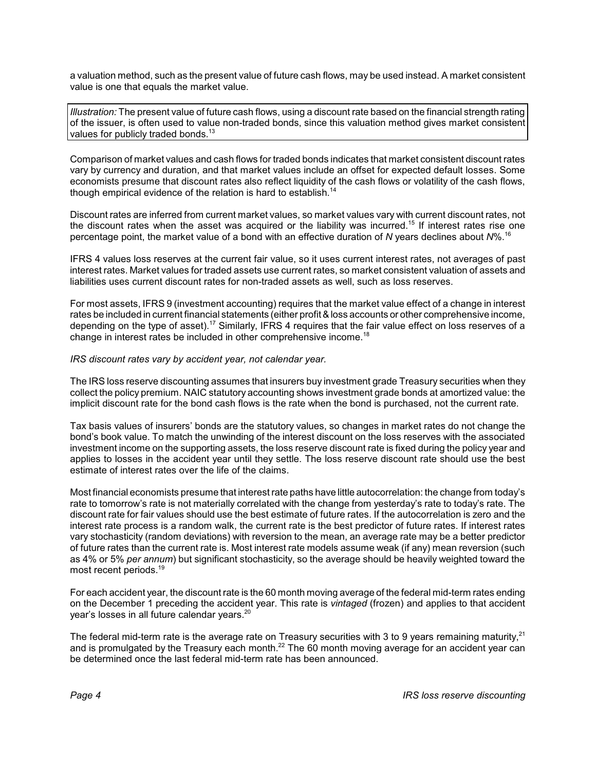a valuation method, such as the present value of future cash flows, may be used instead. A market consistent value is one that equals the market value.

*Illustration:* The present value of future cash flows, using a discount rate based on the financial strength rating of the issuer, is often used to value non-traded bonds, since this valuation method gives market consistent values for publicly traded bonds. $^{13}$ 

Comparison of market values and cash flows for traded bonds indicates that market consistent discount rates vary by currency and duration, and that market values include an offset for expected default losses. Some economists presume that discount rates also reflect liquidity of the cash flows or volatility of the cash flows, though empirical evidence of the relation is hard to establish.<sup>14</sup>

Discount rates are inferred from current market values, so market values vary with current discount rates, not the discount rates when the asset was acquired or the liability was incurred.<sup>15</sup> If interest rates rise one percentage point, the market value of a bond with an effective duration of *N* years declines about *N*%.<sup>16</sup>

IFRS 4 values loss reserves at the current fair value, so it uses current interest rates, not averages of past interest rates. Market values for traded assets use current rates, so market consistent valuation of assets and liabilities uses current discount rates for non-traded assets as well, such as loss reserves.

For most assets, IFRS 9 (investment accounting) requires that the market value effect of a change in interest rates be included in current financial statements (either profit& loss accounts or other comprehensive income, depending on the type of asset).<sup>17</sup> Similarly, IFRS 4 requires that the fair value effect on loss reserves of a change in interest rates be included in other comprehensive income.<sup>18</sup>

# *IRS discount rates vary by accident year, not calendar year.*

The IRS loss reserve discounting assumes that insurers buy investment grade Treasury securities when they collect the policy premium. NAIC statutory accounting shows investment grade bonds at amortized value: the implicit discount rate for the bond cash flows is the rate when the bond is purchased, not the current rate.

Tax basis values of insurers' bonds are the statutory values, so changes in market rates do not change the bond's book value. To match the unwinding of the interest discount on the loss reserves with the associated investment income on the supporting assets, the loss reserve discount rate is fixed during the policy year and applies to losses in the accident year until they settle. The loss reserve discount rate should use the best estimate of interest rates over the life of the claims.

Most financial economists presume that interest rate paths have little autocorrelation: the change from today's rate to tomorrow's rate is not materially correlated with the change from yesterday's rate to today's rate. The discount rate for fair values should use the best estimate of future rates. If the autocorrelation is zero and the interest rate process is a random walk, the current rate is the best predictor of future rates. If interest rates vary stochasticity (random deviations) with reversion to the mean, an average rate may be a better predictor of future rates than the current rate is. Most interest rate models assume weak (if any) mean reversion (such as 4% or 5% *per annum*) but significant stochasticity, so the average should be heavily weighted toward the most recent periods. 19

For each accident year, the discount rate is the 60 month moving average of the federal mid-term rates ending on the December 1 preceding the accident year. This rate is *vintaged* (frozen) and applies to that accident year's losses in all future calendar years. 20

The federal mid-term rate is the average rate on Treasury securities with 3 to 9 years remaining maturity,<sup>21</sup> and is promulgated by the Treasury each month.<sup>22</sup> The 60 month moving average for an accident year can be determined once the last federal mid-term rate has been announced.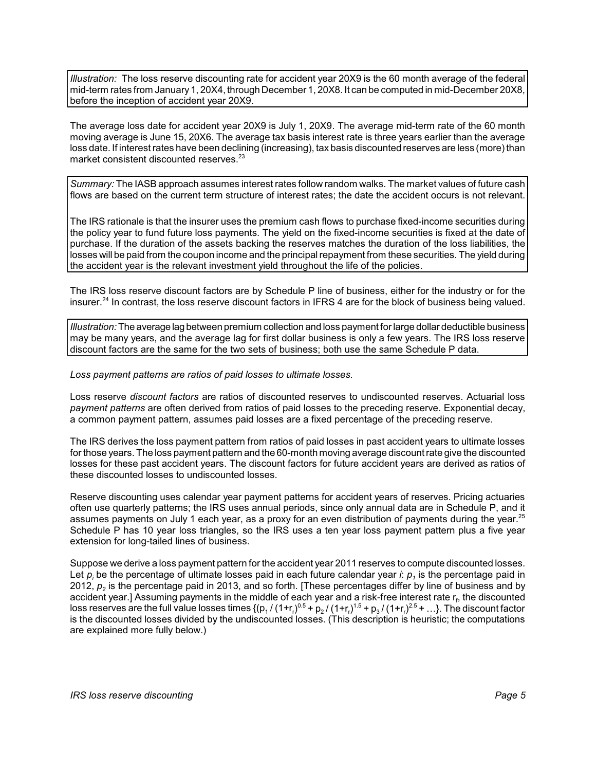*Illustration:* The loss reserve discounting rate for accident year 20X9 is the 60 month average of the federal mid-term rates from January 1, 20X4, through December 1, 20X8. It can be computed in mid-December 20X8, before the inception of accident year 20X9.

The average loss date for accident year 20X9 is July 1, 20X9. The average mid-term rate of the 60 month moving average is June 15, 20X6. The average tax basis interest rate is three years earlier than the average loss date. If interest rates have been declining (increasing), tax basis discounted reserves are less (more) than market consistent discounted reserves.<sup>23</sup>

*Summary:* The IASB approach assumes interest rates follow random walks. The market values of future cash flows are based on the current term structure of interest rates; the date the accident occurs is not relevant.

The IRS rationale is that the insurer uses the premium cash flows to purchase fixed-income securities during the policy year to fund future loss payments. The yield on the fixed-income securities is fixed at the date of purchase. If the duration of the assets backing the reserves matches the duration of the loss liabilities, the losses will be paid from the coupon income and the principal repayment from these securities. The yield during the accident year is the relevant investment yield throughout the life of the policies.

The IRS loss reserve discount factors are by Schedule P line of business, either for the industry or for the insurer.<sup>24</sup> In contrast, the loss reserve discount factors in IFRS 4 are for the block of business being valued.

*Illustration:*The average lagbetween premium collection and loss payment for large dollar deductible business may be many years, and the average lag for first dollar business is only a few years. The IRS loss reserve discount factors are the same for the two sets of business; both use the same Schedule P data.

*Loss payment patterns are ratios of paid losses to ultimate losses.*

Loss reserve *discount factors* are ratios of discounted reserves to undiscounted reserves. Actuarial loss *payment patterns* are often derived from ratios of paid losses to the preceding reserve. Exponential decay, a common payment pattern, assumes paid losses are a fixed percentage of the preceding reserve.

The IRS derives the loss payment pattern from ratios of paid losses in past accident years to ultimate losses for those years. The loss payment pattern and the 60-month moving average discount rate give the discounted losses for these past accident years. The discount factors for future accident years are derived as ratios of these discounted losses to undiscounted losses.

Reserve discounting uses calendar year payment patterns for accident years of reserves. Pricing actuaries often use quarterly patterns; the IRS uses annual periods, since only annual data are in Schedule P, and it assumes payments on July 1 each year, as a proxy for an even distribution of payments during the year.<sup>25</sup> Schedule P has 10 year loss triangles, so the IRS uses a ten year loss payment pattern plus a five year extension for long-tailed lines of business.

Suppose we derive a loss payment pattern for the accident year 2011 reserves to compute discounted losses. Let  $p_i$  be the percentage of ultimate losses paid in each future calendar year *i*:  $p_i$  is the percentage paid in 2012, *p2* is the percentage paid in 2013, and so forth. [These percentages differ by line of business and by accident year.] Assuming payments in the middle of each year and a risk-free interest rate r<sub>f</sub>, the discounted loss reserves are the full value losses times  $\{(p_1/(1+r_r)^{0.5}+p_2/(1+r_r)^{1.5}+p_3/(1+r_r)^{2.5}+...)$ . The discount factor is the discounted losses divided by the undiscounted losses. (This description is heuristic; the computations are explained more fully below.)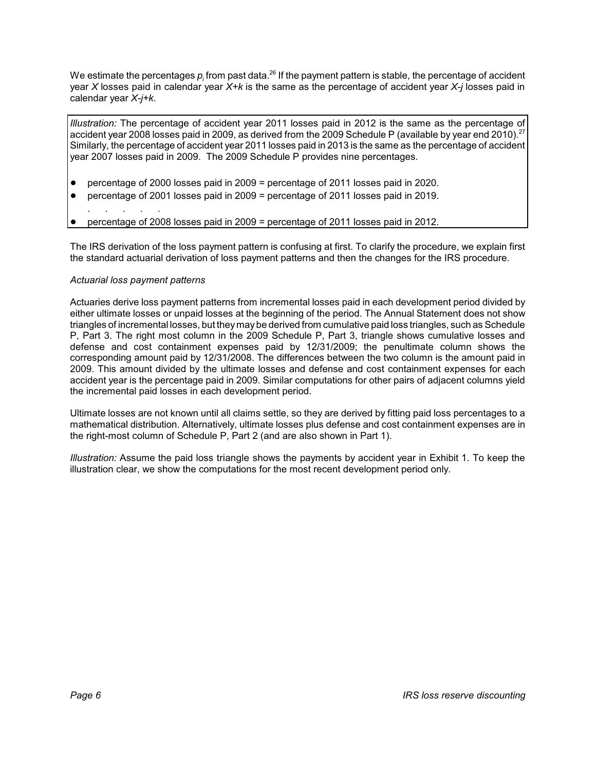We estimate the percentages  $p_i$  from past data.<sup>26</sup> If the payment pattern is stable, the percentage of accident year *X* losses paid in calendar year *X+k* is the same as the percentage of accident year *X-j* losses paid in calendar year *X-j+k*.

*Illustration:* The percentage of accident year 2011 losses paid in 2012 is the same as the percentage of accident year 2008 losses paid in 2009, as derived from the 2009 Schedule P (available by year end 2010).<sup>27</sup> Similarly, the percentage of accident year 2011 losses paid in 2013 is the same as the percentage of accident year 2007 losses paid in 2009. The 2009 Schedule P provides nine percentages.

- ! percentage of 2000 losses paid in 2009 = percentage of 2011 losses paid in 2020.
- ! percentage of 2001 losses paid in 2009 = percentage of 2011 losses paid in 2019.
- . . . . .
- ! percentage of 2008 losses paid in 2009 = percentage of 2011 losses paid in 2012.

The IRS derivation of the loss payment pattern is confusing at first. To clarify the procedure, we explain first the standard actuarial derivation of loss payment patterns and then the changes for the IRS procedure.

# *Actuarial loss payment patterns*

Actuaries derive loss payment patterns from incremental losses paid in each development period divided by either ultimate losses or unpaid losses at the beginning of the period. The Annual Statement does not show triangles of incremental losses, but theymaybe derived from cumulative paid loss triangles, such as Schedule P, Part 3. The right most column in the 2009 Schedule P, Part 3, triangle shows cumulative losses and defense and cost containment expenses paid by 12/31/2009; the penultimate column shows the corresponding amount paid by 12/31/2008. The differences between the two column is the amount paid in 2009. This amount divided by the ultimate losses and defense and cost containment expenses for each accident year is the percentage paid in 2009. Similar computations for other pairs of adjacent columns yield the incremental paid losses in each development period.

Ultimate losses are not known until all claims settle, so they are derived by fitting paid loss percentages to a mathematical distribution. Alternatively, ultimate losses plus defense and cost containment expenses are in the right-most column of Schedule P, Part 2 (and are also shown in Part 1).

*Illustration:* Assume the paid loss triangle shows the payments by accident year in Exhibit 1. To keep the illustration clear, we show the computations for the most recent development period only.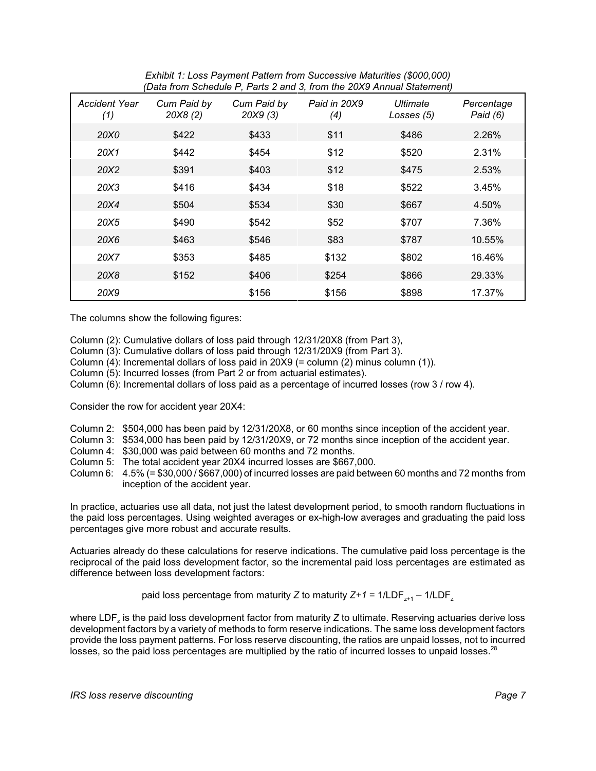| Exhibit 1: Loss Payment Pattern from Successive Maturities (\$000,000) |  |
|------------------------------------------------------------------------|--|
| (Data from Schedule P, Parts 2 and 3, from the 20X9 Annual Statement)  |  |

| <b>Accident Year</b><br>(1) | Cum Paid by<br>20X8(2) | Cum Paid by<br>20X9(3) | $-$ ,<br>Paid in 20X9<br>(4) | Ultimate<br>Losses (5) | Percentage<br>Paid (6) |
|-----------------------------|------------------------|------------------------|------------------------------|------------------------|------------------------|
| 20X0                        | \$422                  | \$433                  | \$11                         | \$486                  | 2.26%                  |
| 20X1                        | \$442                  | \$454                  | \$12                         | \$520                  | 2.31%                  |
| 20X2                        | \$391                  | \$403                  | \$12                         | \$475                  | 2.53%                  |
| 20X3                        | \$416                  | \$434                  | \$18                         | \$522                  | 3.45%                  |
| 20X4                        | \$504                  | \$534                  | \$30                         | \$667                  | 4.50%                  |
| 20X5                        | \$490                  | \$542                  | \$52                         | \$707                  | 7.36%                  |
| 20X6                        | \$463                  | \$546                  | \$83                         | \$787                  | 10.55%                 |
| 20X7                        | \$353                  | \$485                  | \$132                        | \$802                  | 16.46%                 |
| 20X8                        | \$152                  | \$406                  | \$254                        | \$866                  | 29.33%                 |
| 20X9                        |                        | \$156                  | \$156                        | \$898                  | 17.37%                 |

The columns show the following figures:

Column (2): Cumulative dollars of loss paid through 12/31/20X8 (from Part 3),

- Column (3): Cumulative dollars of loss paid through 12/31/20X9 (from Part 3).
- Column (4): Incremental dollars of loss paid in 20X9 (= column (2) minus column (1)).
- Column (5): Incurred losses (from Part 2 or from actuarial estimates).
- Column (6): Incremental dollars of loss paid as a percentage of incurred losses (row 3 / row 4).

Consider the row for accident year 20X4:

- Column 2: \$504,000 has been paid by 12/31/20X8, or 60 months since inception of the accident year.
- Column 3: \$534,000 has been paid by 12/31/20X9, or 72 months since inception of the accident year.
- Column 4: \$30,000 was paid between 60 months and 72 months.
- Column 5: The total accident year 20X4 incurred losses are \$667,000.
- Column 6: 4.5% (= \$30,000 / \$667,000) of incurred losses are paid between 60 months and 72 months from inception of the accident year.

In practice, actuaries use all data, not just the latest development period, to smooth random fluctuations in the paid loss percentages. Using weighted averages or ex-high-low averages and graduating the paid loss percentages give more robust and accurate results.

Actuaries already do these calculations for reserve indications. The cumulative paid loss percentage is the reciprocal of the paid loss development factor, so the incremental paid loss percentages are estimated as difference between loss development factors:

paid loss percentage from maturity *Z* to maturity  $Z+1 = 1/\text{LDF}_{z+1} - 1/\text{LDF}_z$ 

where LDF<sub>z</sub> is the paid loss development factor from maturity *Z* to ultimate. Reserving actuaries derive loss development factors by a variety of methods to form reserve indications. The same loss development factors provide the loss payment patterns. For loss reserve discounting, the ratios are unpaid losses, not to incurred losses, so the paid loss percentages are multiplied by the ratio of incurred losses to unpaid losses. $^{28}$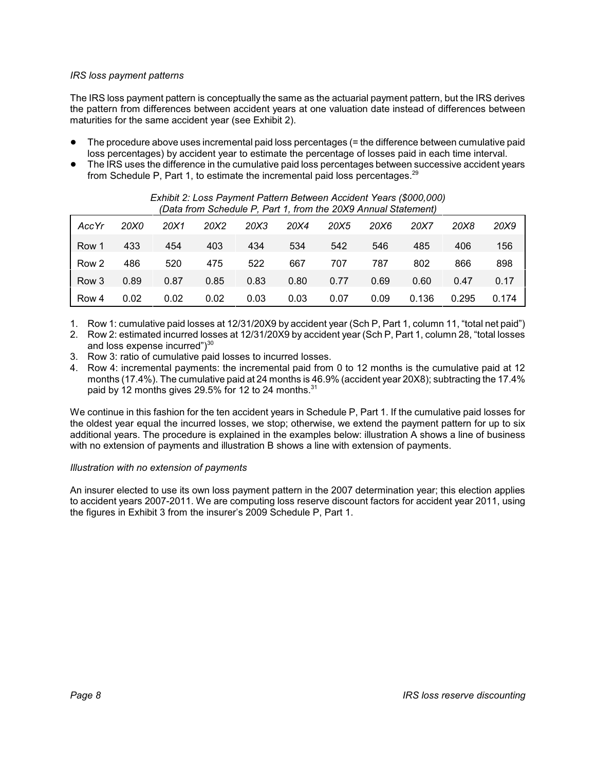# *IRS loss payment patterns*

The IRS loss payment pattern is conceptually the same as the actuarial payment pattern, but the IRS derives the pattern from differences between accident years at one valuation date instead of differences between maturities for the same accident year (see Exhibit 2).

- ! The procedure above uses incremental paid loss percentages (= the difference between cumulative paid loss percentages) by accident year to estimate the percentage of losses paid in each time interval.
- ! The IRS uses the difference in the cumulative paid loss percentages between successive accident years from Schedule P, Part 1, to estimate the incremental paid loss percentages.<sup>29</sup>

|       |      |      | pala hom Schedule F, F alt T, Hom the 20X9 Annual Statement) |      |      |      |      |       |       |       |
|-------|------|------|--------------------------------------------------------------|------|------|------|------|-------|-------|-------|
| AccYr | 20X0 | 20X1 | 20X2                                                         | 20X3 | 20X4 | 20X5 | 20X6 | 20X7  | 20X8  | 20X9  |
| Row 1 | 433  | 454  | 403                                                          | 434  | 534  | 542  | 546  | 485   | 406   | 156   |
| Row 2 | 486  | 520  | 475                                                          | 522  | 667  | 707  | 787  | 802   | 866   | 898   |
| Row 3 | 0.89 | 0.87 | 0.85                                                         | 0.83 | 0.80 | 0.77 | 0.69 | 0.60  | 0.47  | 0.17  |
| Row 4 | 0.02 | 0.02 | 0.02                                                         | 0.03 | 0.03 | 0.07 | 0.09 | 0.136 | 0.295 | 0.174 |

*Exhibit 2: Loss Payment Pattern Between Accident Years (\$000,000) (Data from Schedule P, Part 1, from the 20X9 Annual Statement)*

- 1. Row 1: cumulative paid losses at 12/31/20X9 by accident year (Sch P, Part 1, column 11, "total net paid")
- 2. Row 2: estimated incurred losses at 12/31/20X9 by accident year (Sch P, Part 1, column 28, "total losses and loss expense incurred")<sup>30</sup>
- 3. Row 3: ratio of cumulative paid losses to incurred losses.
- 4. Row 4: incremental payments: the incremental paid from 0 to 12 months is the cumulative paid at 12 months (17.4%). The cumulative paid at 24 months is 46.9% (accident year 20X8); subtracting the 17.4% paid by 12 months gives 29.5% for 12 to 24 months. $^{\rm 31}$

We continue in this fashion for the ten accident years in Schedule P, Part 1. If the cumulative paid losses for the oldest year equal the incurred losses, we stop; otherwise, we extend the payment pattern for up to six additional years. The procedure is explained in the examples below: illustration A shows a line of business with no extension of payments and illustration B shows a line with extension of payments.

# *Illustration with no extension of payments*

An insurer elected to use its own loss payment pattern in the 2007 determination year; this election applies to accident years 2007-2011. We are computing loss reserve discount factors for accident year 2011, using the figures in Exhibit 3 from the insurer's 2009 Schedule P, Part 1.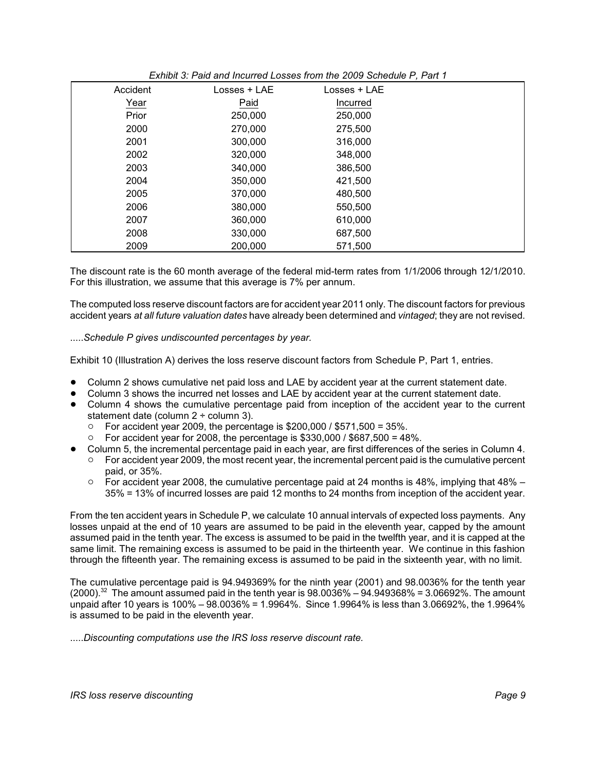| Accident | Losses + LAE | Losses + LAE |  |
|----------|--------------|--------------|--|
| Year     | Paid         | Incurred     |  |
| Prior    | 250,000      | 250,000      |  |
| 2000     | 270,000      | 275,500      |  |
| 2001     | 300,000      | 316,000      |  |
| 2002     | 320,000      | 348,000      |  |
| 2003     | 340,000      | 386,500      |  |
| 2004     | 350,000      | 421,500      |  |
| 2005     | 370,000      | 480,500      |  |
| 2006     | 380,000      | 550,500      |  |
| 2007     | 360,000      | 610,000      |  |
| 2008     | 330,000      | 687,500      |  |
| 2009     | 200,000      | 571,500      |  |

# *Exhibit 3: Paid and Incurred Losses from the 2009 Schedule P, Part 1*

The discount rate is the 60 month average of the federal mid-term rates from 1/1/2006 through 12/1/2010. For this illustration, we assume that this average is 7% per annum.

The computed loss reserve discount factors are for accident year 2011 only. The discount factors for previous accident years *at all future valuation dates* have already been determined and *vintaged*; they are not revised.

# .....*Schedule P gives undiscounted percentages by year.*

Exhibit 10 (Illustration A) derives the loss reserve discount factors from Schedule P, Part 1, entries.

- ! Column 2 shows cumulative net paid loss and LAE by accident year at the current statement date.
- ! Column 3 shows the incurred net losses and LAE by accident year at the current statement date.
- Column 4 shows the cumulative percentage paid from inception of the accident year to the current statement date (column 2 ÷ column 3).
	- $\degree$  For accident year 2009, the percentage is \$200,000 / \$571,500 = 35%.<br> $\degree$  For accident year for 2008, the percentage is \$330,000 / \$687,500 = 48
	- For accident year for 2008, the percentage is  $$330,000 / $687,500 = 48\%$ .
- ! Column 5, the incremental percentage paid in each year, are first differences of the series in Column 4.
	- $\circ$  For accident year 2009, the most recent year, the incremental percent paid is the cumulative percent paid, or 35%.
		- $\circ$  For accident year 2008, the cumulative percentage paid at 24 months is 48%, implying that 48% 35% = 13% of incurred losses are paid 12 months to 24 months from inception of the accident year.

From the ten accident years in Schedule P, we calculate 10 annual intervals of expected loss payments. Any losses unpaid at the end of 10 years are assumed to be paid in the eleventh year, capped by the amount assumed paid in the tenth year. The excess is assumed to be paid in the twelfth year, and it is capped at the same limit. The remaining excess is assumed to be paid in the thirteenth year. We continue in this fashion through the fifteenth year. The remaining excess is assumed to be paid in the sixteenth year, with no limit.

The cumulative percentage paid is 94.949369% for the ninth year (2001) and 98.0036% for the tenth year  $(2000)^{32}$  The amount assumed paid in the tenth year is  $98.0036\% - 94.949368\% = 3.06692\%$ . The amount unpaid after 10 years is 100% – 98.0036% = 1.9964%. Since 1.9964% is less than 3.06692%, the 1.9964% is assumed to be paid in the eleventh year.

.....*Discounting computations use the IRS loss reserve discount rate.*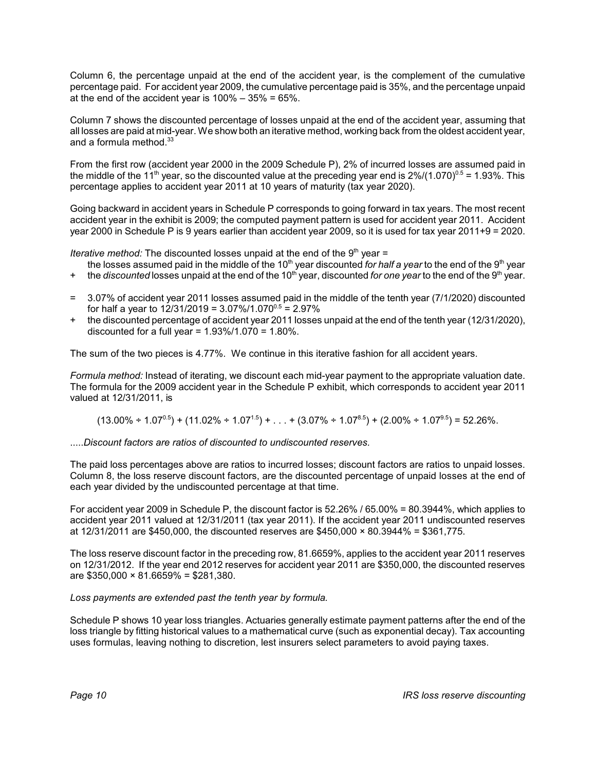Column 6, the percentage unpaid at the end of the accident year, is the complement of the cumulative percentage paid. For accident year 2009, the cumulative percentage paid is 35%, and the percentage unpaid at the end of the accident year is  $100\% - 35\% = 65\%$ .

Column 7 shows the discounted percentage of losses unpaid at the end of the accident year, assuming that all losses are paid at mid-year. We show both an iterative method, working back from the oldest accident year, and a formula method. $33$ 

From the first row (accident year 2000 in the 2009 Schedule P), 2% of incurred losses are assumed paid in the middle of the 11<sup>th</sup> year, so the discounted value at the preceding year end is  $2\%/1.070)^{0.5}$  = 1.93%. This percentage applies to accident year 2011 at 10 years of maturity (tax year 2020).

Going backward in accident years in Schedule P corresponds to going forward in tax years. The most recent accident year in the exhibit is 2009; the computed payment pattern is used for accident year 2011. Accident year 2000 in Schedule P is 9 years earlier than accident year 2009, so it is used for tax year 2011+9 = 2020.

*Iterative method:* The discounted losses unpaid at the end of the 9<sup>th</sup> year =

- the losses assumed paid in the middle of the 10<sup>th</sup> year discounted *for half a year* to the end of the 9<sup>th</sup> year
- the *discounted* losses unpaid at the end of the 10<sup>th</sup> year, discounted *for one year* to the end of the 9<sup>th</sup> year.
- = 3.07% of accident year 2011 losses assumed paid in the middle of the tenth year (7/1/2020) discounted for half a year to  $12/31/2019 = 3.07\%/1.070^{0.5} = 2.97\%$
- + the discounted percentage of accident year 2011 losses unpaid at the end of the tenth year (12/31/2020), discounted for a full year =  $1.93\%/1.070 = 1.80\%$ .

The sum of the two pieces is 4.77%. We continue in this iterative fashion for all accident years.

*Formula method:* Instead of iterating, we discount each mid-year payment to the appropriate valuation date. The formula for the 2009 accident year in the Schedule P exhibit, which corresponds to accident year 2011 valued at 12/31/2011, is

 $(13.00\% \div 1.07^{0.5}) + (11.02\% \div 1.07^{1.5}) + ... + (3.07\% \div 1.07^{8.5}) + (2.00\% \div 1.07^{9.5}) = 52.26\%.$ 

.....*Discount factors are ratios of discounted to undiscounted reserves.*

The paid loss percentages above are ratios to incurred losses; discount factors are ratios to unpaid losses. Column 8, the loss reserve discount factors, are the discounted percentage of unpaid losses at the end of each year divided by the undiscounted percentage at that time.

For accident year 2009 in Schedule P, the discount factor is 52.26% / 65.00% = 80.3944%, which applies to accident year 2011 valued at 12/31/2011 (tax year 2011). If the accident year 2011 undiscounted reserves at  $12/31/2011$  are \$450,000, the discounted reserves are \$450,000  $\times$  80.3944% = \$361,775.

The loss reserve discount factor in the preceding row, 81.6659%, applies to the accident year 2011 reserves on 12/31/2012. If the year end 2012 reserves for accident year 2011 are \$350,000, the discounted reserves are  $$350,000 \times 81.6659\% = $281,380$ .

*Loss payments are extended past the tenth year by formula.*

Schedule P shows 10 year loss triangles. Actuaries generally estimate payment patterns after the end of the loss triangle by fitting historical values to a mathematical curve (such as exponential decay). Tax accounting uses formulas, leaving nothing to discretion, lest insurers select parameters to avoid paying taxes.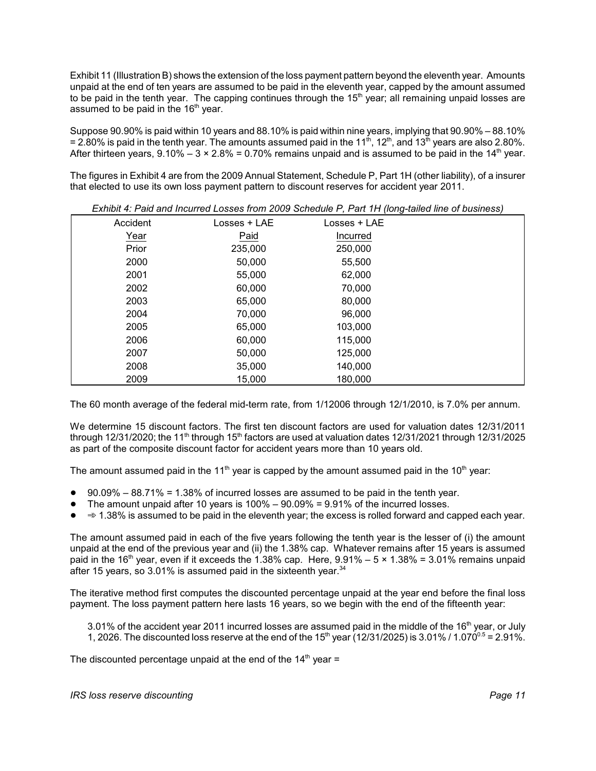Exhibit 11 (Illustration B) shows the extension of the loss payment pattern beyond the eleventh year. Amounts unpaid at the end of ten years are assumed to be paid in the eleventh year, capped by the amount assumed to be paid in the tenth year. The capping continues through the  $15<sup>th</sup>$  year; all remaining unpaid losses are assumed to be paid in the  $16<sup>th</sup>$  year.

Suppose 90.90% is paid within 10 years and 88.10% is paid within nine years, implying that 90.90% – 88.10% = 2.80% is paid in the tenth year. The amounts assumed paid in the 11<sup>th</sup>, 12<sup>th</sup>, and 13<sup>th</sup> years are also 2.80%. After thirteen years,  $9.10\% - 3 \times 2.8\% = 0.70\%$  remains unpaid and is assumed to be paid in the 14<sup>th</sup> year.

The figures in Exhibit 4 are from the 2009 Annual Statement, Schedule P, Part 1H (other liability), of a insurer that elected to use its own loss payment pattern to discount reserves for accident year 2011.

|          |              | ັ            |  |
|----------|--------------|--------------|--|
| Accident | Losses + LAE | Losses + LAE |  |
| Year     | Paid         | Incurred     |  |
| Prior    | 235,000      | 250,000      |  |
| 2000     | 50,000       | 55,500       |  |
| 2001     | 55,000       | 62,000       |  |
| 2002     | 60,000       | 70,000       |  |
| 2003     | 65,000       | 80,000       |  |
| 2004     | 70,000       | 96,000       |  |
| 2005     | 65,000       | 103,000      |  |
| 2006     | 60,000       | 115,000      |  |
| 2007     | 50,000       | 125,000      |  |
| 2008     | 35,000       | 140,000      |  |
| 2009     | 15,000       | 180,000      |  |

*Exhibit 4: Paid and Incurred Losses from 2009 Schedule P, Part 1H (long-tailed line of business)*

The 60 month average of the federal mid-term rate, from 1/12006 through 12/1/2010, is 7.0% per annum.

We determine 15 discount factors. The first ten discount factors are used for valuation dates 12/31/2011 through 12/31/2020; the 11<sup>th</sup> through 15<sup>th</sup> factors are used at valuation dates 12/31/2021 through 12/31/2025 as part of the composite discount factor for accident years more than 10 years old.

The amount assumed paid in the 11<sup>th</sup> year is capped by the amount assumed paid in the 10<sup>th</sup> year:

- $90.09\% 88.71\% = 1.38\%$  of incurred losses are assumed to be paid in the tenth year.
- The amount unpaid after 10 years is  $100\% 90.09\% = 9.91\%$  of the incurred losses.
- $\bullet \quad \Rightarrow$  1.38% is assumed to be paid in the eleventh year; the excess is rolled forward and capped each year.

The amount assumed paid in each of the five years following the tenth year is the lesser of (i) the amount unpaid at the end of the previous year and (ii) the 1.38% cap. Whatever remains after 15 years is assumed paid in the 16<sup>th</sup> year, even if it exceeds the 1.38% cap. Here,  $9.91\% - 5 \times 1.38\% = 3.01\%$  remains unpaid after 15 years, so  $3.01\%$  is assumed paid in the sixteenth year. $34$ 

The iterative method first computes the discounted percentage unpaid at the year end before the final loss payment. The loss payment pattern here lasts 16 years, so we begin with the end of the fifteenth year:

3.01% of the accident year 2011 incurred losses are assumed paid in the middle of the 16<sup>th</sup> year, or July 1, 2026. The discounted loss reserve at the end of the  $15<sup>th</sup>$  year (12/31/2025) is 3.01% / 1.070<sup>0.5</sup> = 2.91%.

The discounted percentage unpaid at the end of the  $14<sup>th</sup>$  year =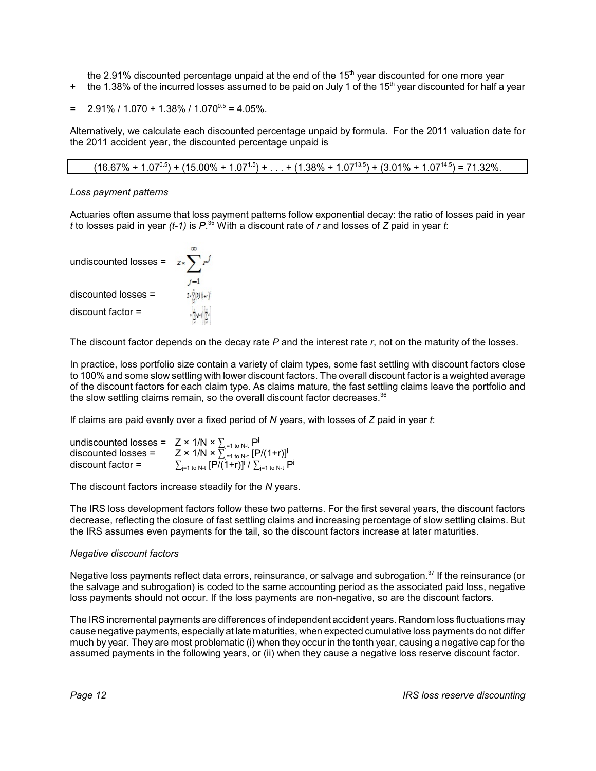the 2.91% discounted percentage unpaid at the end of the  $15<sup>th</sup>$  year discounted for one more year

 $+$  the 1.38% of the incurred losses assumed to be paid on July 1 of the 15<sup>th</sup> year discounted for half a year

$$
= 2.91\% / 1.070 + 1.38\% / 1.070^{0.5} = 4.05\%.
$$

Alternatively, we calculate each discounted percentage unpaid by formula. For the 2011 valuation date for the 2011 accident year, the discounted percentage unpaid is

 $(16.67\% \div 1.07^{0.5}) + (15.00\% \div 1.07^{1.5}) + ... + (1.38\% \div 1.07^{13.5}) + (3.01\% \div 1.07^{14.5}) = 71.32\%.$ 

*Loss payment patterns*

Actuaries often assume that loss payment patterns follow exponential decay: the ratio of losses paid in year *t* to losses paid in year *(t-1)* is *P*. 35 With a discount rate of *r* and losses of *Z* paid in year *t*:

undiscounted losses =

\n
$$
z \sum_{j=1}^{\infty} p^{j}
$$
\ndiscounted losses =

\n
$$
z \sum_{\substack{j=1 \\ \text{discount factor}}}^{x} p^{j}
$$

The discount factor depends on the decay rate *P* and the interest rate *r*, not on the maturity of the losses.

In practice, loss portfolio size contain a variety of claim types, some fast settling with discount factors close to 100% and some slow settling with lower discount factors. The overall discount factor is a weighted average of the discount factors for each claim type. As claims mature, the fast settling claims leave the portfolio and the slow settling claims remain, so the overall discount factor decreases.<sup>36</sup>

If claims are paid evenly over a fixed period of *N* years, with losses of *Z* paid in year *t*:

| undiscounted losses = $Z \times 1/N \times \sum_{j=1 \text{ to } N \cdot t} P^{j}$ |                                                                                      |
|------------------------------------------------------------------------------------|--------------------------------------------------------------------------------------|
| $discounted losses =$                                                              | $Z \times 1/N \times \sum_{j=1 \text{ to } N}^{N} [P/(1+r)]^{j}$                     |
| $discount factor =$                                                                | $\sum_{j=1 \text{ to } N-t} [P\overline{/(1+r)}]^j / \sum_{j=1 \text{ to } N-t} P^j$ |

The discount factors increase steadily for the *N* years.

The IRS loss development factors follow these two patterns. For the first several years, the discount factors decrease, reflecting the closure of fast settling claims and increasing percentage of slow settling claims. But the IRS assumes even payments for the tail, so the discount factors increase at later maturities.

# *Negative discount factors*

Negative loss payments reflect data errors, reinsurance, or salvage and subrogation.<sup>37</sup> If the reinsurance (or the salvage and subrogation) is coded to the same accounting period as the associated paid loss, negative loss payments should not occur. If the loss payments are non-negative, so are the discount factors.

The IRS incremental payments are differences of independent accident years. Random loss fluctuations may cause negative payments, especially at late maturities, when expected cumulative loss payments do not differ much by year. They are most problematic (i) when they occur in the tenth year, causing a negative cap for the assumed payments in the following years, or (ii) when they cause a negative loss reserve discount factor.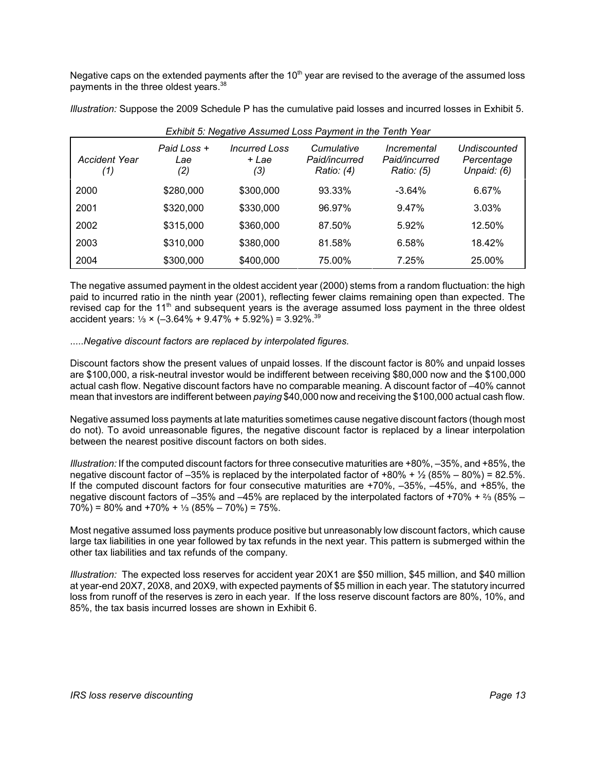Negative caps on the extended payments after the  $10<sup>th</sup>$  year are revised to the average of the assumed loss payments in the three oldest years. 38

*Illustration:* Suppose the 2009 Schedule P has the cumulative paid losses and incurred losses in Exhibit 5.

| Accident Year<br>(1) | Paid Loss +<br>Lae<br>(2) | <b>Incurred Loss</b><br>+ Lae<br>(3) | Cumulative<br>Paid/incurred<br>Ratio: (4) | Incremental<br>Paid/incurred<br>Ratio: (5) | Undiscounted<br>Percentage<br>Unpaid: (6) |
|----------------------|---------------------------|--------------------------------------|-------------------------------------------|--------------------------------------------|-------------------------------------------|
| 2000                 | \$280,000                 | \$300,000                            | 93.33%                                    | $-3.64%$                                   | 6.67%                                     |
| 2001                 | \$320,000                 | \$330,000                            | 96.97%                                    | 9.47%                                      | 3.03%                                     |
| 2002                 | \$315,000                 | \$360,000                            | 87.50%                                    | 5.92%                                      | 12.50%                                    |
| 2003                 | \$310,000                 | \$380,000                            | 81.58%                                    | 6.58%                                      | 18.42%                                    |
| 2004                 | \$300,000                 | \$400,000                            | 75.00%                                    | 7.25%                                      | 25.00%                                    |

*Exhibit 5: Negative Assumed Loss Payment in the Tenth Year*

The negative assumed payment in the oldest accident year (2000) stems from a random fluctuation: the high paid to incurred ratio in the ninth year (2001), reflecting fewer claims remaining open than expected. The revised cap for the 11<sup>th</sup> and subsequent years is the average assumed loss payment in the three oldest accident years:  $\frac{1}{3} \times (-3.64\% + 9.47\% + 5.92\%) = 3.92\%$ .<sup>39</sup>

# .....*Negative discount factors are replaced by interpolated figures.*

Discount factors show the present values of unpaid losses. If the discount factor is 80% and unpaid losses are \$100,000, a risk-neutral investor would be indifferent between receiving \$80,000 now and the \$100,000 actual cash flow. Negative discount factors have no comparable meaning. A discount factor of –40% cannot mean that investors are indifferent between *paying* \$40,000 now and receiving the \$100,000 actual cash flow.

Negative assumed loss payments at late maturities sometimes cause negative discount factors (though most do not). To avoid unreasonable figures, the negative discount factor is replaced by a linear interpolation between the nearest positive discount factors on both sides.

*Illustration:* If the computed discount factors for three consecutive maturities are +80%, –35%, and +85%, the negative discount factor of –35% is replaced by the interpolated factor of +80% +  $\frac{1}{2}$  (85% – 80%) = 82.5%. If the computed discount factors for four consecutive maturities are +70%, –35%, –45%, and +85%, the negative discount factors of -35% and -45% are replaced by the interpolated factors of +70% +  $\frac{2}{3}$  (85% –  $70\%$ ) = 80% and +70% +  $\frac{1}{3}$  (85% – 70%) = 75%.

Most negative assumed loss payments produce positive but unreasonably low discount factors, which cause large tax liabilities in one year followed by tax refunds in the next year. This pattern is submerged within the other tax liabilities and tax refunds of the company.

*Illustration:* The expected loss reserves for accident year 20X1 are \$50 million, \$45 million, and \$40 million at year-end 20X7, 20X8, and 20X9, with expected payments of \$5 million in each year. The statutory incurred loss from runoff of the reserves is zero in each year. If the loss reserve discount factors are 80%, 10%, and 85%, the tax basis incurred losses are shown in Exhibit 6.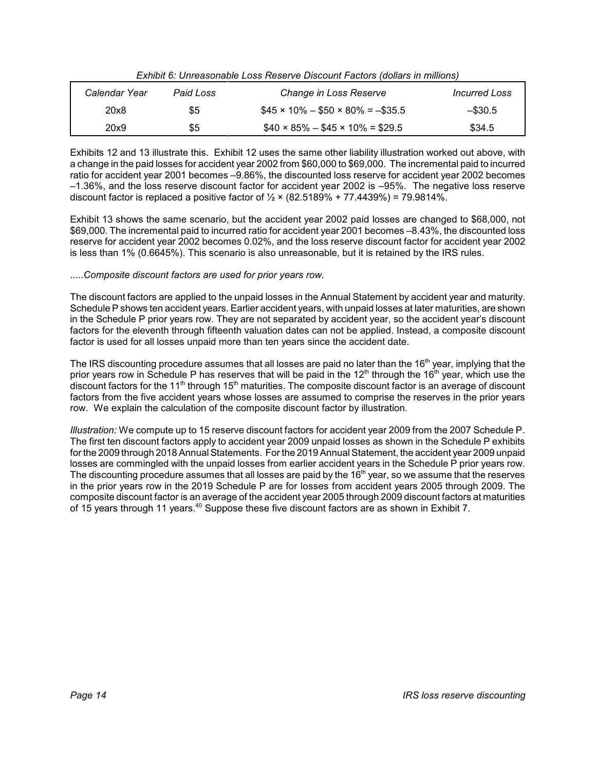| Calendar Year | Paid Loss | Change in Loss Reserve                        | <i>Incurred Loss</i> |
|---------------|-----------|-----------------------------------------------|----------------------|
| 20x8          | \$5       | $$45 \times 10\% - $50 \times 80\% = -\$35.5$ | $-$ \$30.5           |
| 20x9          | \$5       | $$40 \times 85\% - $45 \times 10\% = $29.5$   | \$34.5               |

*Exhibit 6: Unreasonable Loss Reserve Discount Factors (dollars in millions)*

Exhibits 12 and 13 illustrate this. Exhibit 12 uses the same other liability illustration worked out above, with a change in the paid losses for accident year 2002 from \$60,000 to \$69,000. The incremental paid to incurred ratio for accident year 2001 becomes –9.86%, the discounted loss reserve for accident year 2002 becomes –1.36%, and the loss reserve discount factor for accident year 2002 is –95%. The negative loss reserve discount factor is replaced a positive factor of  $\frac{1}{2} \times (82.5189\% + 77.4439\%) = 79.9814\%.$ 

Exhibit 13 shows the same scenario, but the accident year 2002 paid losses are changed to \$68,000, not \$69,000. The incremental paid to incurred ratio for accident year 2001 becomes –8.43%, the discounted loss reserve for accident year 2002 becomes 0.02%, and the loss reserve discount factor for accident year 2002 is less than 1% (0.6645%). This scenario is also unreasonable, but it is retained by the IRS rules.

# .....*Composite discount factors are used for prior years row.*

The discount factors are applied to the unpaid losses in the Annual Statement by accident year and maturity. Schedule P shows ten accident years. Earlier accident years, with unpaid losses at later maturities, are shown in the Schedule P prior years row. They are not separated by accident year, so the accident year's discount factors for the eleventh through fifteenth valuation dates can not be applied. Instead, a composite discount factor is used for all losses unpaid more than ten years since the accident date.

The IRS discounting procedure assumes that all losses are paid no later than the 16<sup>th</sup> year, implying that the prior years row in Schedule P has reserves that will be paid in the 12<sup>th</sup> through the 16<sup>th</sup> year, which use the discount factors for the 11<sup>th</sup> through 15<sup>th</sup> maturities. The composite discount factor is an average of discount factors from the five accident years whose losses are assumed to comprise the reserves in the prior years row. We explain the calculation of the composite discount factor by illustration.

*Illustration:* We compute up to 15 reserve discount factors for accident year 2009 from the 2007 Schedule P. The first ten discount factors apply to accident year 2009 unpaid losses as shown in the Schedule P exhibits for the 2009 through 2018 Annual Statements. For the 2019 Annual Statement, the accident year 2009 unpaid losses are commingled with the unpaid losses from earlier accident years in the Schedule P prior years row. The discounting procedure assumes that all losses are paid by the  $16<sup>th</sup>$  year, so we assume that the reserves in the prior years row in the 2019 Schedule P are for losses from accident years 2005 through 2009. The composite discount factor is an average of the accident year 2005 through 2009 discount factors at maturities of 15 years through 11 years.<sup>40</sup> Suppose these five discount factors are as shown in Exhibit 7.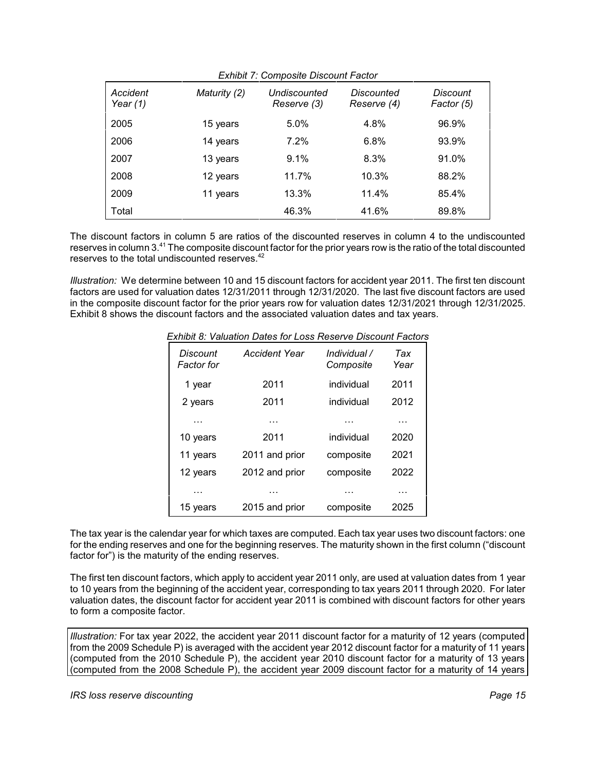| Accident<br>Year $(1)$ | Maturity (2) | LATING T. COMPOSITO DIGOODIIL I GOLOI<br>Undiscounted<br>Reserve (3) | Discounted<br>Reserve (4) | Discount<br>Factor (5) |
|------------------------|--------------|----------------------------------------------------------------------|---------------------------|------------------------|
| 2005                   | 15 years     | 5.0%                                                                 | 4.8%                      | 96.9%                  |
| 2006                   | 14 years     | 7.2%                                                                 | 6.8%                      | 93.9%                  |
| 2007                   | 13 years     | 9.1%                                                                 | 8.3%                      | 91.0%                  |
| 2008                   | 12 years     | 11.7%                                                                | 10.3%                     | 88.2%                  |
| 2009                   | 11 years     | 13.3%                                                                | 11.4%                     | 85.4%                  |
| Total                  |              | 46.3%                                                                | 41.6%                     | 89.8%                  |

*Exhibit 7: Composite Discount Factor*

The discount factors in column 5 are ratios of the discounted reserves in column 4 to the undiscounted reserves in column 3.41 The composite discount factor for the prior years row is the ratio of the total discounted reserves to the total undiscounted reserves.<sup>42</sup>

*Illustration:* We determine between 10 and 15 discount factors for accident year 2011. The first ten discount factors are used for valuation dates 12/31/2011 through 12/31/2020. The last five discount factors are used in the composite discount factor for the prior years row for valuation dates 12/31/2021 through 12/31/2025. Exhibit 8 shows the discount factors and the associated valuation dates and tax years.

| <b>Exhibit 8: Valuation Dates for Loss Reserve Discount Factors</b> |  |
|---------------------------------------------------------------------|--|
|---------------------------------------------------------------------|--|

| Discount<br>Factor for | Accident Year  | Individual /<br>Composite | Tax<br>Year |
|------------------------|----------------|---------------------------|-------------|
| 1 year                 | 2011           | individual                | 2011        |
| 2 years                | 2011           | individual                | 2012        |
| .                      | .              | .                         | .           |
| 10 years               | 2011           | individual                | 2020        |
| 11 years               | 2011 and prior | composite                 | 2021        |
| 12 years               | 2012 and prior | composite                 | 2022        |
| .                      | .              | .                         | .           |
| 15 years               | 2015 and prior | composite                 | 2025        |

The tax year is the calendar year for which taxes are computed. Each tax year uses two discount factors: one for the ending reserves and one for the beginning reserves. The maturity shown in the first column ("discount factor for") is the maturity of the ending reserves.

The first ten discount factors, which apply to accident year 2011 only, are used at valuation dates from 1 year to 10 years from the beginning of the accident year, corresponding to tax years 2011 through 2020. For later valuation dates, the discount factor for accident year 2011 is combined with discount factors for other years to form a composite factor.

*Illustration:* For tax year 2022, the accident year 2011 discount factor for a maturity of 12 years (computed from the 2009 Schedule P) is averaged with the accident year 2012 discount factor for a maturity of 11 years (computed from the 2010 Schedule P), the accident year 2010 discount factor for a maturity of 13 years (computed from the 2008 Schedule P), the accident year 2009 discount factor for a maturity of 14 years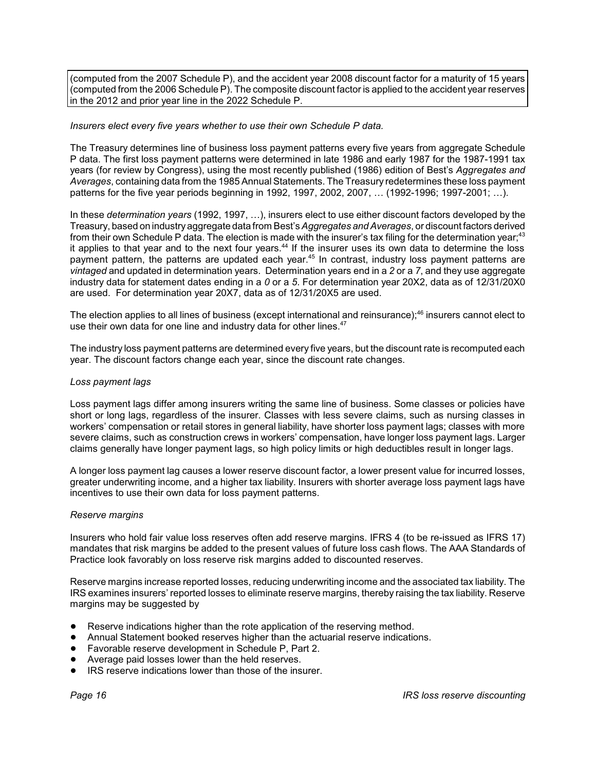(computed from the 2007 Schedule P), and the accident year 2008 discount factor for a maturity of 15 years (computed from the 2006 Schedule P). The composite discount factor is applied to the accident year reserves in the 2012 and prior year line in the 2022 Schedule P.

## *Insurers elect every five years whether to use their own Schedule P data.*

The Treasury determines line of business loss payment patterns every five years from aggregate Schedule P data. The first loss payment patterns were determined in late 1986 and early 1987 for the 1987-1991 tax years (for review by Congress), using the most recently published (1986) edition of Best's *Aggregates and* Averages, containing data from the 1985 Annual Statements. The Treasury redetermines these loss payment patterns for the five year periods beginning in 1992, 1997, 2002, 2007, … (1992-1996; 1997-2001; …).

In these *determination years* (1992, 1997, …), insurers elect to use either discount factors developed by the Treasury, based on industryaggregate data from Best's *Aggregates and Averages*, or discount factors derived from their own Schedule P data. The election is made with the insurer's tax filing for the determination year;<sup>43</sup> it applies to that year and to the next four years.<sup>44</sup> If the insurer uses its own data to determine the loss payment pattern, the patterns are updated each year.<sup>45</sup> In contrast, industry loss payment patterns are *vintaged* and updated in determination years. Determination years end in a *2* or a *7*, and they use aggregate industry data for statement dates ending in a *0* or a *5*. For determination year 20X2, data as of 12/31/20X0 are used. For determination year 20X7, data as of 12/31/20X5 are used.

The election applies to all lines of business (except international and reinsurance);<sup>46</sup> insurers cannot elect to use their own data for one line and industry data for other lines.<sup>47</sup>

The industry loss payment patterns are determined every five years, but the discount rate is recomputed each year. The discount factors change each year, since the discount rate changes.

#### *Loss payment lags*

Loss payment lags differ among insurers writing the same line of business. Some classes or policies have short or long lags, regardless of the insurer. Classes with less severe claims, such as nursing classes in workers' compensation or retail stores in general liability, have shorter loss payment lags; classes with more severe claims, such as construction crews in workers' compensation, have longer loss payment lags. Larger claims generally have longer payment lags, so high policy limits or high deductibles result in longer lags.

A longer loss payment lag causes a lower reserve discount factor, a lower present value for incurred losses, greater underwriting income, and a higher tax liability. Insurers with shorter average loss payment lags have incentives to use their own data for loss payment patterns.

#### *Reserve margins*

Insurers who hold fair value loss reserves often add reserve margins. IFRS 4 (to be re-issued as IFRS 17) mandates that risk margins be added to the present values of future loss cash flows. The AAA Standards of Practice look favorably on loss reserve risk margins added to discounted reserves.

Reserve margins increase reported losses, reducing underwriting income and the associated tax liability. The IRS examines insurers' reported losses to eliminate reserve margins, thereby raising the tax liability. Reserve margins may be suggested by

- Reserve indications higher than the rote application of the reserving method.
- ! Annual Statement booked reserves higher than the actuarial reserve indications.
- ! Favorable reserve development in Schedule P, Part 2.
- Average paid losses lower than the held reserves.
- ! IRS reserve indications lower than those of the insurer.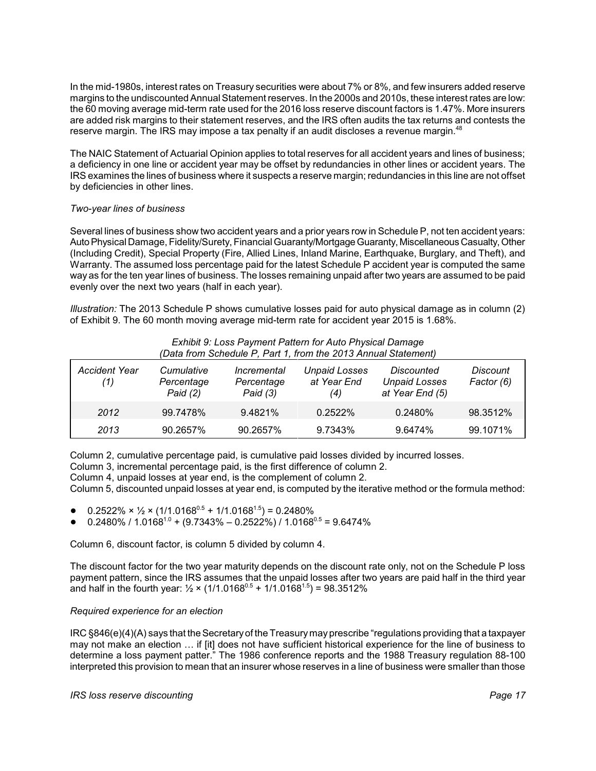In the mid-1980s, interest rates on Treasury securities were about 7% or 8%, and few insurers added reserve margins to the undiscounted Annual Statement reserves. In the 2000s and 2010s, these interest rates are low: the 60 moving average mid-term rate used for the 2016 loss reserve discount factors is 1.47%. More insurers are added risk margins to their statement reserves, and the IRS often audits the tax returns and contests the reserve margin. The IRS may impose a tax penalty if an audit discloses a revenue margin.<sup>48</sup>

The NAIC Statement of Actuarial Opinion applies to total reserves for all accident years and lines of business; a deficiency in one line or accident year may be offset by redundancies in other lines or accident years. The IRS examines the lines of business where it suspects a reserve margin; redundancies in this line are not offset by deficiencies in other lines.

# *Two-year lines of business*

Several lines of business show two accident years and a prior years row in Schedule P, not ten accident years: Auto Physical Damage, Fidelity/Surety, Financial Guaranty/Mortgage Guaranty, Miscellaneous Casualty, Other (Including Credit), Special Property (Fire, Allied Lines, Inland Marine, Earthquake, Burglary, and Theft), and Warranty. The assumed loss percentage paid for the latest Schedule P accident year is computed the same way as for the ten year lines of business. The losses remaining unpaid after two years are assumed to be paid evenly over the next two years (half in each year).

*Illustration:* The 2013 Schedule P shows cumulative losses paid for auto physical damage as in column (2) of Exhibit 9. The 60 month moving average mid-term rate for accident year 2015 is 1.68%.

|                             |                                        |                                                | <u>Exhibit of Edgo Paymont Patton for Auto Physical Damago</u><br>(Data from Schedule P, Part 1, from the 2013 Annual Statement) |                                                       |                               |
|-----------------------------|----------------------------------------|------------------------------------------------|----------------------------------------------------------------------------------------------------------------------------------|-------------------------------------------------------|-------------------------------|
| <b>Accident Year</b><br>(1) | Cumulative<br>Percentage<br>Paid $(2)$ | <i>Incremental</i><br>Percentage<br>Paid $(3)$ | <b>Unpaid Losses</b><br>at Year End<br>(4)                                                                                       | Discounted<br><b>Unpaid Losses</b><br>at Year End (5) | <b>Discount</b><br>Factor (6) |
| 2012                        | 99.7478%                               | 9.4821%                                        | 0.2522%                                                                                                                          | 0.2480%                                               | 98.3512%                      |
| 2013                        | 90.2657%                               | 90.2657%                                       | 9.7343%                                                                                                                          | 9.6474%                                               | 99.1071%                      |

# *Exhibit 9: Loss Payment Pattern for Auto Physical Damage*

Column 2, cumulative percentage paid, is cumulative paid losses divided by incurred losses.

Column 3, incremental percentage paid, is the first difference of column 2.

Column 4, unpaid losses at year end, is the complement of column 2.

Column 5, discounted unpaid losses at year end, is computed by the iterative method or the formula method:

- $0.2522\% \times \frac{1}{2} \times (1/1.0168^{0.5} + 1/1.0168^{1.5}) = 0.2480\%$
- $0.2480\%$  /  $1.0168^{1.0}$  + (9.7343% 0.2522%) / 1.0168 $^{0.5}$  = 9.6474%

Column 6, discount factor, is column 5 divided by column 4.

The discount factor for the two year maturity depends on the discount rate only, not on the Schedule P loss payment pattern, since the IRS assumes that the unpaid losses after two years are paid half in the third year and half in the fourth year:  $\frac{1}{2} \times (1/1.0168^{0.5} + 1/1.0168^{1.5}) = 98.3512\%$ 

# *Required experience for an election*

IRC §846(e)(4)(A) says that the Secretaryof the Treasurymayprescribe "regulations providing that a taxpayer may not make an election … if [it] does not have sufficient historical experience for the line of business to determine a loss payment patter." The 1986 conference reports and the 1988 Treasury regulation 88-100 interpreted this provision to mean that an insurer whose reserves in a line of business were smaller than those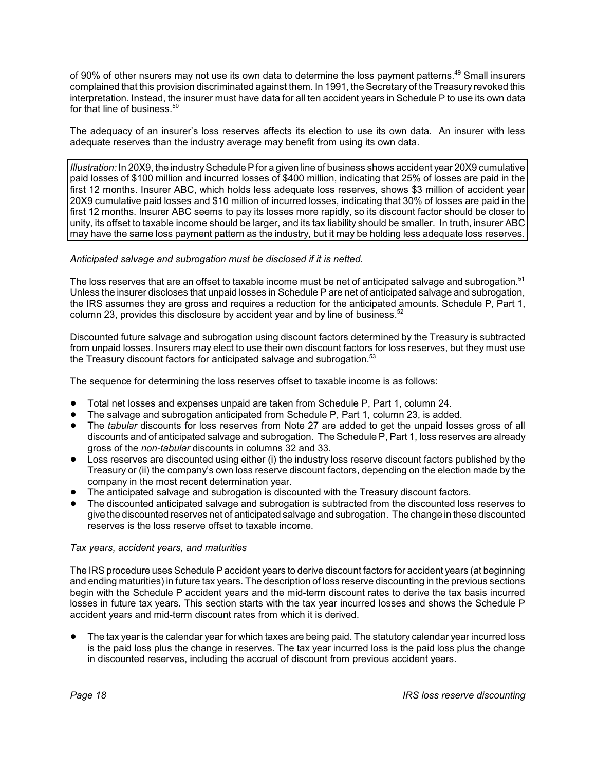of 90% of other nsurers may not use its own data to determine the loss payment patterns.<sup>49</sup> Small insurers complained that this provision discriminated against them. In 1991, the Secretary of the Treasury revoked this interpretation. Instead, the insurer must have data for all ten accident years in Schedule P to use its own data for that line of business.<sup>50</sup>

The adequacy of an insurer's loss reserves affects its election to use its own data. An insurer with less adequate reserves than the industry average may benefit from using its own data.

*Illustration:* In 20X9, the industry Schedule P for a given line of business shows accident year 20X9 cumulative paid losses of \$100 million and incurred losses of \$400 million, indicating that 25% of losses are paid in the first 12 months. Insurer ABC, which holds less adequate loss reserves, shows \$3 million of accident year 20X9 cumulative paid losses and \$10 million of incurred losses, indicating that 30% of losses are paid in the first 12 months. Insurer ABC seems to pay its losses more rapidly, so its discount factor should be closer to unity, its offset to taxable income should be larger, and its tax liability should be smaller. In truth, insurer ABC may have the same loss payment pattern as the industry, but it may be holding less adequate loss reserves.

# *Anticipated salvage and subrogation must be disclosed if it is netted.*

The loss reserves that are an offset to taxable income must be net of anticipated salvage and subrogation.<sup>51</sup> Unless the insurer discloses that unpaid losses in Schedule P are net of anticipated salvage and subrogation, the IRS assumes they are gross and requires a reduction for the anticipated amounts. Schedule P, Part 1, column 23, provides this disclosure by accident year and by line of business.<sup>52</sup>

Discounted future salvage and subrogation using discount factors determined by the Treasury is subtracted from unpaid losses. Insurers may elect to use their own discount factors for loss reserves, but they must use the Treasury discount factors for anticipated salvage and subrogation.<sup>53</sup>

The sequence for determining the loss reserves offset to taxable income is as follows:

- ! Total net losses and expenses unpaid are taken from Schedule P, Part 1, column 24.
- The salvage and subrogation anticipated from Schedule P, Part 1, column 23, is added.<br>• The *tabular* discounts for loss reserves from Note 27 are added to get the unpaid loss
- ! The *tabular* discounts for loss reserves from Note 27 are added to get the unpaid losses gross of all discounts and of anticipated salvage and subrogation. The Schedule P, Part 1, loss reserves are already gross of the *non-tabular* discounts in columns 32 and 33.
- Loss reserves are discounted using either (i) the industry loss reserve discount factors published by the Treasury or (ii) the company's own loss reserve discount factors, depending on the election made by the company in the most recent determination year.
- The anticipated salvage and subrogation is discounted with the Treasury discount factors.
- ! The discounted anticipated salvage and subrogation is subtracted from the discounted loss reserves to give the discounted reserves net of anticipated salvage and subrogation. The change in these discounted reserves is the loss reserve offset to taxable income.

# *Tax years, accident years, and maturities*

The IRS procedure uses Schedule P accident years to derive discount factors for accident years (at beginning and ending maturities) in future tax years. The description of loss reserve discounting in the previous sections begin with the Schedule P accident years and the mid-term discount rates to derive the tax basis incurred losses in future tax years. This section starts with the tax year incurred losses and shows the Schedule P accident years and mid-term discount rates from which it is derived.

! The tax year is the calendar year for which taxes are being paid. The statutory calendar year incurred loss is the paid loss plus the change in reserves. The tax year incurred loss is the paid loss plus the change in discounted reserves, including the accrual of discount from previous accident years.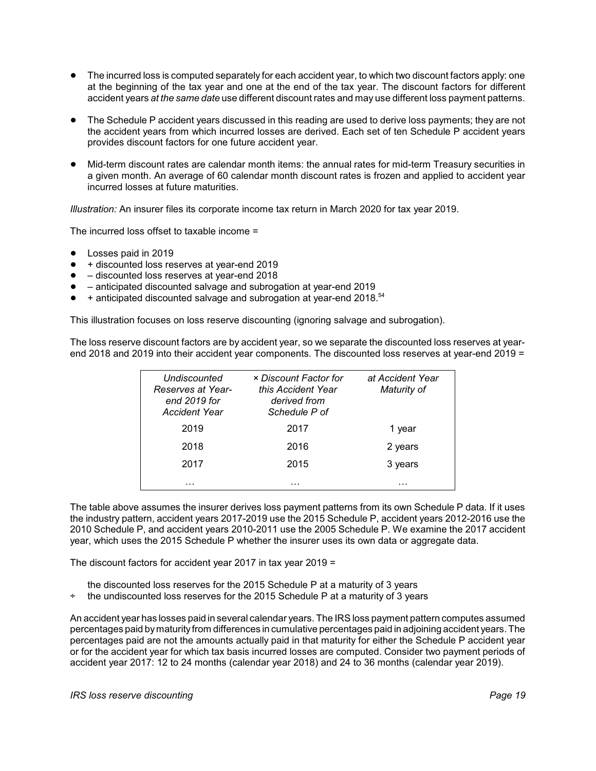- The incurred loss is computed separately for each accident year, to which two discount factors apply: one at the beginning of the tax year and one at the end of the tax year. The discount factors for different accident years *at the same date* use different discount rates and may use different loss payment patterns.
- ! The Schedule P accident years discussed in this reading are used to derive loss payments; they are not the accident years from which incurred losses are derived. Each set of ten Schedule P accident years provides discount factors for one future accident year.
- ! Mid-term discount rates are calendar month items: the annual rates for mid-term Treasury securities in a given month. An average of 60 calendar month discount rates is frozen and applied to accident year incurred losses at future maturities.

*Illustration:* An insurer files its corporate income tax return in March 2020 for tax year 2019.

The incurred loss offset to taxable income =

- Losses paid in 2019
- $\bullet$  + discounted loss reserves at year-end 2019
- $\bullet$  discounted loss reserves at year-end 2018
- – anticipated discounted salvage and subrogation at year-end 2019
- $\bullet$  + anticipated discounted salvage and subrogation at year-end 2018.<sup>54</sup>

This illustration focuses on loss reserve discounting (ignoring salvage and subrogation).

The loss reserve discount factors are by accident year, so we separate the discounted loss reserves at yearend 2018 and 2019 into their accident year components. The discounted loss reserves at year-end 2019 =

| Undiscounted<br>Reserves at Year-<br>end 2019 for<br>Accident Year | × Discount Factor for<br>this Accident Year<br>derived from<br>Schedule P of | at Accident Year<br>Maturity of |
|--------------------------------------------------------------------|------------------------------------------------------------------------------|---------------------------------|
| 2019                                                               | 2017                                                                         | 1 year                          |
| 2018                                                               | 2016                                                                         | 2 years                         |
| 2017                                                               | 2015                                                                         | 3 years                         |
| .                                                                  | .                                                                            | .                               |

The table above assumes the insurer derives loss payment patterns from its own Schedule P data. If it uses the industry pattern, accident years 2017-2019 use the 2015 Schedule P, accident years 2012-2016 use the 2010 Schedule P, and accident years 2010-2011 use the 2005 Schedule P. We examine the 2017 accident year, which uses the 2015 Schedule P whether the insurer uses its own data or aggregate data.

The discount factors for accident year 2017 in tax year 2019 =

- the discounted loss reserves for the 2015 Schedule P at a maturity of 3 years
- the undiscounted loss reserves for the 2015 Schedule P at a maturity of 3 years

An accident year has losses paid in several calendar years. The IRS loss payment pattern computes assumed percentages paid bymaturity from differences in cumulative percentages paid in adjoining accident years. The percentages paid are not the amounts actually paid in that maturity for either the Schedule P accident year or for the accident year for which tax basis incurred losses are computed. Consider two payment periods of accident year 2017: 12 to 24 months (calendar year 2018) and 24 to 36 months (calendar year 2019).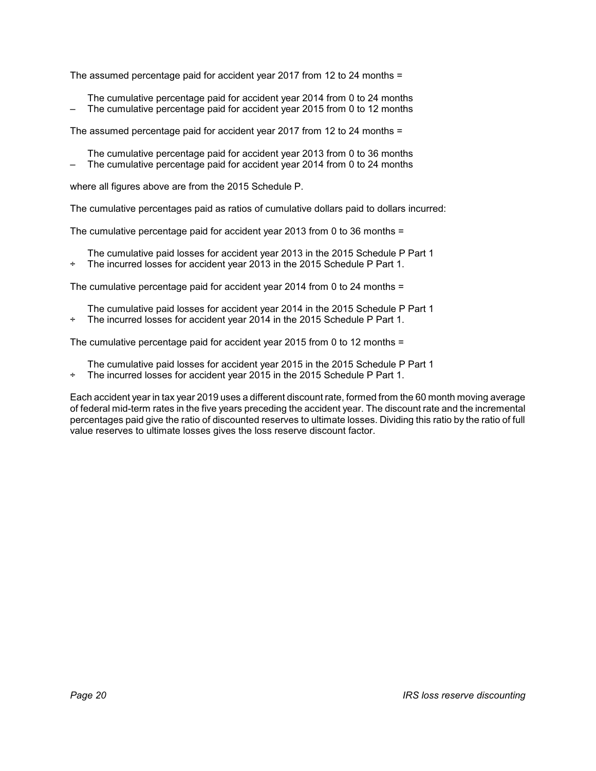The assumed percentage paid for accident year 2017 from 12 to 24 months =

The cumulative percentage paid for accident year 2014 from 0 to 24 months – The cumulative percentage paid for accident year 2015 from 0 to 12 months

The assumed percentage paid for accident year 2017 from 12 to 24 months =

- The cumulative percentage paid for accident year 2013 from 0 to 36 months
- The cumulative percentage paid for accident year 2014 from 0 to 24 months

where all figures above are from the 2015 Schedule P.

The cumulative percentages paid as ratios of cumulative dollars paid to dollars incurred:

The cumulative percentage paid for accident year 2013 from 0 to 36 months =

- The cumulative paid losses for accident year 2013 in the 2015 Schedule P Part 1
- ÷ The incurred losses for accident year 2013 in the 2015 Schedule P Part 1.

The cumulative percentage paid for accident year 2014 from 0 to 24 months =

The cumulative paid losses for accident year 2014 in the 2015 Schedule P Part 1 ÷ The incurred losses for accident year 2014 in the 2015 Schedule P Part 1.

The cumulative percentage paid for accident year 2015 from 0 to 12 months =

The cumulative paid losses for accident year 2015 in the 2015 Schedule P Part 1

÷ The incurred losses for accident year 2015 in the 2015 Schedule P Part 1.

Each accident year in tax year 2019 uses a different discount rate, formed from the 60 month moving average of federal mid-term rates in the five years preceding the accident year. The discount rate and the incremental percentages paid give the ratio of discounted reserves to ultimate losses. Dividing this ratio by the ratio of full value reserves to ultimate losses gives the loss reserve discount factor.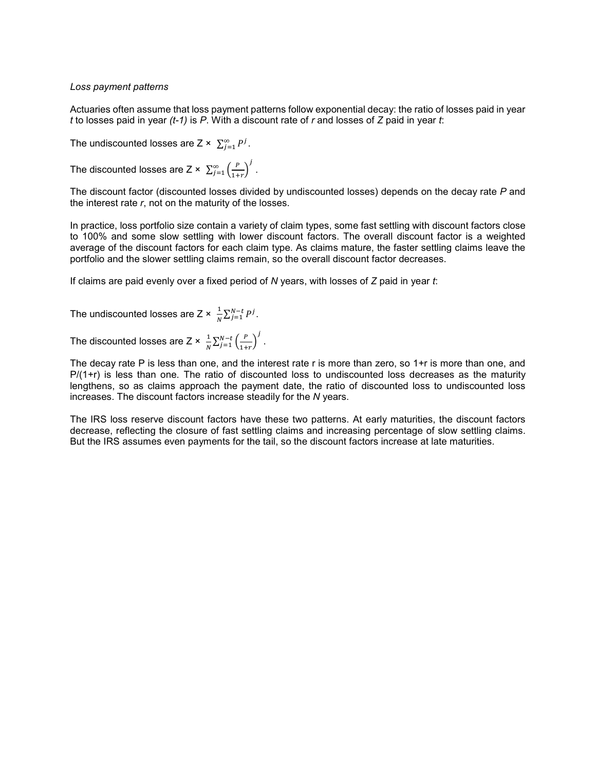## *Loss payment patterns*

Actuaries often assume that loss payment patterns follow exponential decay: the ratio of losses paid in year *t* to losses paid in year *(t-1)* is *P*. With a discount rate of *r* and losses of *Z* paid in year *t*:

The undiscounted losses are  $Z \times \sum_{i=1}^{\infty} P^i$ .

The discounted losses are Z ×  $\sum_{j=1}^{\infty} \left(\frac{P}{1+r}\right)^j$  .

The discount factor (discounted losses divided by undiscounted losses) depends on the decay rate *P* and the interest rate *r*, not on the maturity of the losses.

In practice, loss portfolio size contain a variety of claim types, some fast settling with discount factors close to 100% and some slow settling with lower discount factors. The overall discount factor is a weighted average of the discount factors for each claim type. As claims mature, the faster settling claims leave the portfolio and the slower settling claims remain, so the overall discount factor decreases.

If claims are paid evenly over a fixed period of *N* years, with losses of *Z* paid in year *t*:

The undiscounted losses are Z ×  $\frac{1}{N}\sum_{j=1}^{N-t}P^j$ .

The discounted losses are Z ×  $\frac{1}{N}\sum_{j=1}^{N-t} \left(\frac{P}{1+r}\right)^j$  .

The decay rate P is less than one, and the interest rate r is more than zero, so 1+r is more than one, and  $P/(1+r)$  is less than one. The ratio of discounted loss to undiscounted loss decreases as the maturity lengthens, so as claims approach the payment date, the ratio of discounted loss to undiscounted loss increases. The discount factors increase steadily for the *N* years.

The IRS loss reserve discount factors have these two patterns. At early maturities, the discount factors decrease, reflecting the closure of fast settling claims and increasing percentage of slow settling claims. But the IRS assumes even payments for the tail, so the discount factors increase at late maturities.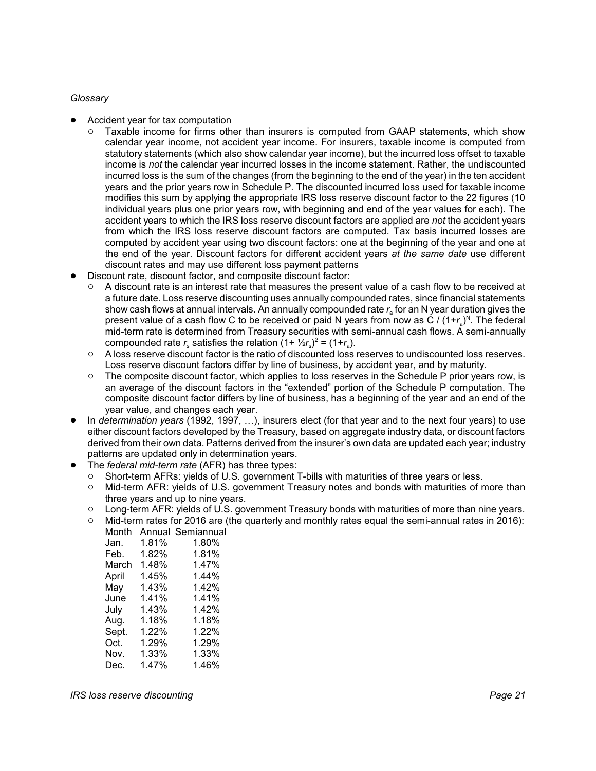# *Glossary*

- ! Accident year for tax computation
	- Taxable income for firms other than insurers is computed from GAAP statements, which show calendar year income, not accident year income. For insurers, taxable income is computed from statutory statements (which also show calendar year income), but the incurred loss offset to taxable income is *not* the calendar year incurred losses in the income statement. Rather, the undiscounted incurred loss is the sum of the changes (from the beginning to the end of the year) in the ten accident years and the prior years row in Schedule P. The discounted incurred loss used for taxable income modifies this sum by applying the appropriate IRS loss reserve discount factor to the 22 figures (10 individual years plus one prior years row, with beginning and end of the year values for each). The accident years to which the IRS loss reserve discount factors are applied are *not* the accident years from which the IRS loss reserve discount factors are computed. Tax basis incurred losses are computed by accident year using two discount factors: one at the beginning of the year and one at the end of the year. Discount factors for different accident years *at the same date* use different discount rates and may use different loss payment patterns
- Discount rate, discount factor, and composite discount factor:
	- $\circ$  A discount rate is an interest rate that measures the present value of a cash flow to be received at a future date. Loss reserve discounting uses annually compounded rates, since financial statements show cash flows at annual intervals. An annually compounded rate  $r_a$  for an N year duration gives the present value of a cash flow C to be received or paid N years from now as C / (1+*r<sub>a</sub>)<sup>N</sup>. The federal* mid-term rate is determined from Treasury securities with semi-annual cash flows. A semi-annually compounded rate  $r_s$  satisfies the relation  $(1 + \frac{1}{2}r_s)^2 = (1 + r_a)$ .
	- $\circ$  A loss reserve discount factor is the ratio of discounted loss reserves to undiscounted loss reserves. Loss reserve discount factors differ by line of business, by accident year, and by maturity.
	- $\circ$  The composite discount factor, which applies to loss reserves in the Schedule P prior years row, is an average of the discount factors in the "extended" portion of the Schedule P computation. The composite discount factor differs by line of business, has a beginning of the year and an end of the year value, and changes each year.
- ! In *determination years* (1992, 1997, …), insurers elect (for that year and to the next four years) to use either discount factors developed by the Treasury, based on aggregate industry data, or discount factors derived from their own data. Patterns derived from the insurer's own data are updated each year; industry patterns are updated only in determination years.
- ! The *federal mid-term rate* (AFR) has three types:
	- Short-term AFRs: yields of U.S. government T-bills with maturities of three years or less.<br>○ Mid-term AFR: vields of U.S. government Treasury notes and bonds with maturities of n
	- Mid-term AFR: yields of U.S. government Treasury notes and bonds with maturities of more than three years and up to nine years.
	- $\circ$  Long-term AFR: yields of U.S. government Treasury bonds with maturities of more than nine years.
	- $\circ$  Mid-term rates for 2016 are (the quarterly and monthly rates equal the semi-annual rates in 2016): Month Annual Semiannual

| Jan.  | 1.81% | 1.80% |
|-------|-------|-------|
| Feb.  | 1.82% | 1.81% |
| March | 1.48% | 1.47% |
| April | 1.45% | 1.44% |
| May   | 1.43% | 1.42% |
| June  | 1.41% | 1.41% |
| July  | 1.43% | 1.42% |
| Aug.  | 1.18% | 1.18% |
| Sept. | 1.22% | 1.22% |
| Oct.  | 1.29% | 1.29% |
| Nov.  | 1.33% | 1.33% |
| Dec.  | 1.47% | 1.46% |
|       |       |       |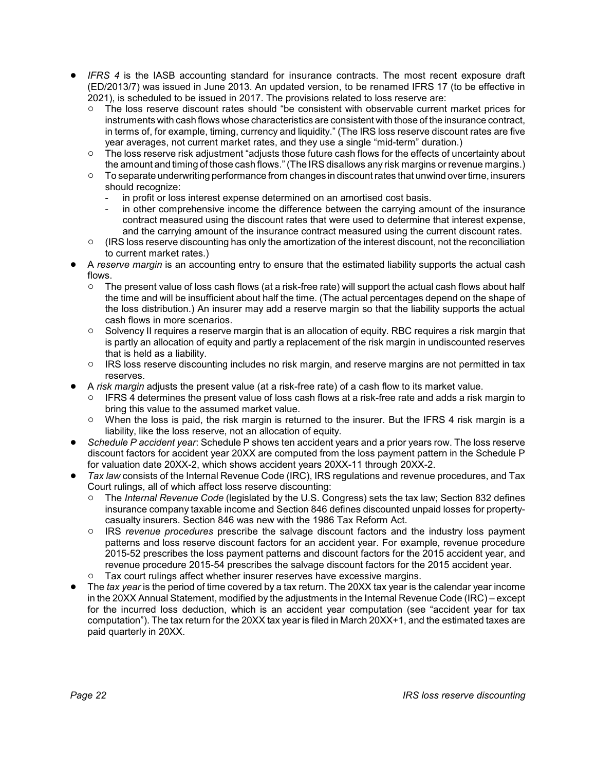- ! *IFRS 4* is the IASB accounting standard for insurance contracts. The most recent exposure draft (ED/2013/7) was issued in June 2013. An updated version, to be renamed IFRS 17 (to be effective in 2021), is scheduled to be issued in 2017. The provisions related to loss reserve are:
	- $\circ$  The loss reserve discount rates should "be consistent with observable current market prices for instruments with cash flows whose characteristics are consistent with those of the insurance contract, in terms of, for example, timing, currency and liquidity." (The IRS loss reserve discount rates are five year averages, not current market rates, and they use a single "mid-term" duration.)
	- $\circ$  The loss reserve risk adjustment "adjusts those future cash flows for the effects of uncertainty about
	- the amount and timing of those cash flows." (The IRS disallows any risk margins or revenue margins.)  $\circ$  To separate underwriting performance from changes in discount rates that unwind over time, insurers should recognize:
		- in profit or loss interest expense determined on an amortised cost basis.
		- in other comprehensive income the difference between the carrying amount of the insurance contract measured using the discount rates that were used to determine that interest expense, and the carrying amount of the insurance contract measured using the current discount rates.
	- $\circ$  (IRS loss reserve discounting has only the amortization of the interest discount, not the reconciliation to current market rates.)
- ! A *reserve margin* is an accounting entry to ensure that the estimated liability supports the actual cash flows.
	- $\circ$  The present value of loss cash flows (at a risk-free rate) will support the actual cash flows about half the time and will be insufficient about half the time. (The actual percentages depend on the shape of the loss distribution.) An insurer may add a reserve margin so that the liability supports the actual cash flows in more scenarios.
	- $\circ$  Solvency II requires a reserve margin that is an allocation of equity. RBC requires a risk margin that is partly an allocation of equity and partly a replacement of the risk margin in undiscounted reserves that is held as a liability.
	- <sup>o</sup> IRS loss reserve discounting includes no risk margin, and reserve margins are not permitted in tax reserves.
- ! A *risk margin* adjusts the present value (at a risk-free rate) of a cash flow to its market value.
	- $\circ$  IFRS 4 determines the present value of loss cash flows at a risk-free rate and adds a risk margin to bring this value to the assumed market value.
	- $\circ$  When the loss is paid, the risk margin is returned to the insurer. But the IFRS 4 risk margin is a liability, like the loss reserve, not an allocation of equity.
- ! *Schedule P accident year*: Schedule P shows ten accident years and a prior years row. The loss reserve discount factors for accident year 20XX are computed from the loss payment pattern in the Schedule P for valuation date 20XX-2, which shows accident years 20XX-11 through 20XX-2.
- ! *Tax law* consists of the Internal Revenue Code (IRC), IRS regulations and revenue procedures, and Tax Court rulings, all of which affect loss reserve discounting:
	- " The *Internal Revenue Code* (legislated by the U.S. Congress) sets the tax law; Section 832 defines insurance company taxable income and Section 846 defines discounted unpaid losses for propertycasualty insurers. Section 846 was new with the 1986 Tax Reform Act.
	- " IRS *revenue procedures* prescribe the salvage discount factors and the industry loss payment patterns and loss reserve discount factors for an accident year. For example, revenue procedure 2015-52 prescribes the loss payment patterns and discount factors for the 2015 accident year, and revenue procedure 2015-54 prescribes the salvage discount factors for the 2015 accident year.
	- $\circ$  Tax court rulings affect whether insurer reserves have excessive margins.
- ! The *tax year* is the period of time covered by a tax return. The 20XX tax year is the calendar year income in the 20XX Annual Statement, modified by the adjustments in the Internal Revenue Code (IRC) – except for the incurred loss deduction, which is an accident year computation (see "accident year for tax computation"). The tax return for the 20XX tax year is filed in March 20XX+1, and the estimated taxes are paid quarterly in 20XX.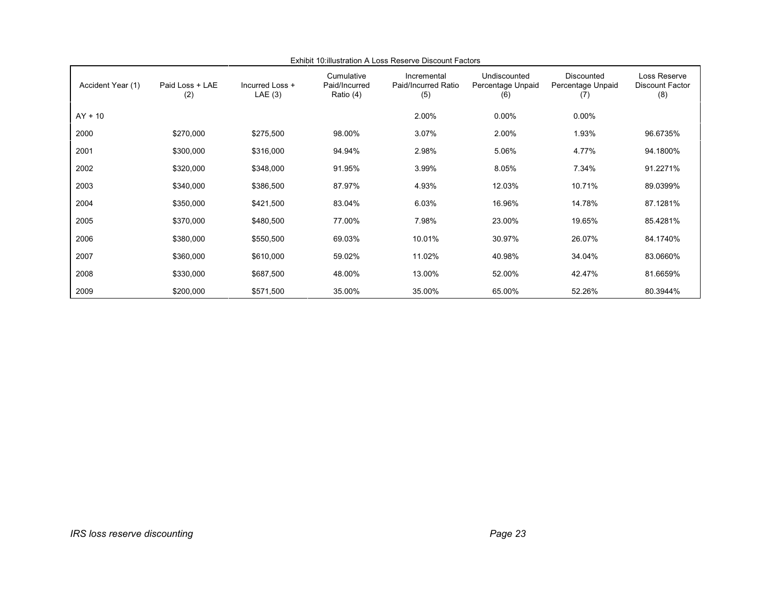| Accident Year (1) | Paid Loss + LAE<br>(2) | Incurred Loss +<br>LAE(3) | Cumulative<br>Paid/Incurred<br>Ratio (4) | Incremental<br>Paid/Incurred Ratio<br>(5) | Undiscounted<br>Percentage Unpaid<br>(6) | <b>Discounted</b><br>Percentage Unpaid<br>(7) | Loss Reserve<br><b>Discount Factor</b><br>(8) |
|-------------------|------------------------|---------------------------|------------------------------------------|-------------------------------------------|------------------------------------------|-----------------------------------------------|-----------------------------------------------|
| $AY + 10$         |                        |                           |                                          | 2.00%                                     | $0.00\%$                                 | $0.00\%$                                      |                                               |
| 2000              | \$270,000              | \$275,500                 | 98.00%                                   | 3.07%                                     | 2.00%                                    | 1.93%                                         | 96.6735%                                      |
| 2001              | \$300,000              | \$316,000                 | 94.94%                                   | 2.98%                                     | 5.06%                                    | 4.77%                                         | 94.1800%                                      |
| 2002              | \$320,000              | \$348,000                 | 91.95%                                   | 3.99%                                     | 8.05%                                    | 7.34%                                         | 91.2271%                                      |
| 2003              | \$340,000              | \$386,500                 | 87.97%                                   | 4.93%                                     | 12.03%                                   | 10.71%                                        | 89.0399%                                      |
| 2004              | \$350,000              | \$421,500                 | 83.04%                                   | 6.03%                                     | 16.96%                                   | 14.78%                                        | 87.1281%                                      |
| 2005              | \$370,000              | \$480,500                 | 77.00%                                   | 7.98%                                     | 23.00%                                   | 19.65%                                        | 85.4281%                                      |
| 2006              | \$380,000              | \$550,500                 | 69.03%                                   | 10.01%                                    | 30.97%                                   | 26.07%                                        | 84.1740%                                      |
| 2007              | \$360,000              | \$610,000                 | 59.02%                                   | 11.02%                                    | 40.98%                                   | 34.04%                                        | 83.0660%                                      |
| 2008              | \$330,000              | \$687,500                 | 48.00%                                   | 13.00%                                    | 52.00%                                   | 42.47%                                        | 81.6659%                                      |
| 2009              | \$200,000              | \$571,500                 | 35.00%                                   | 35.00%                                    | 65.00%                                   | 52.26%                                        | 80.3944%                                      |

Exhibit 10:illustration A Loss Reserve Discount Factors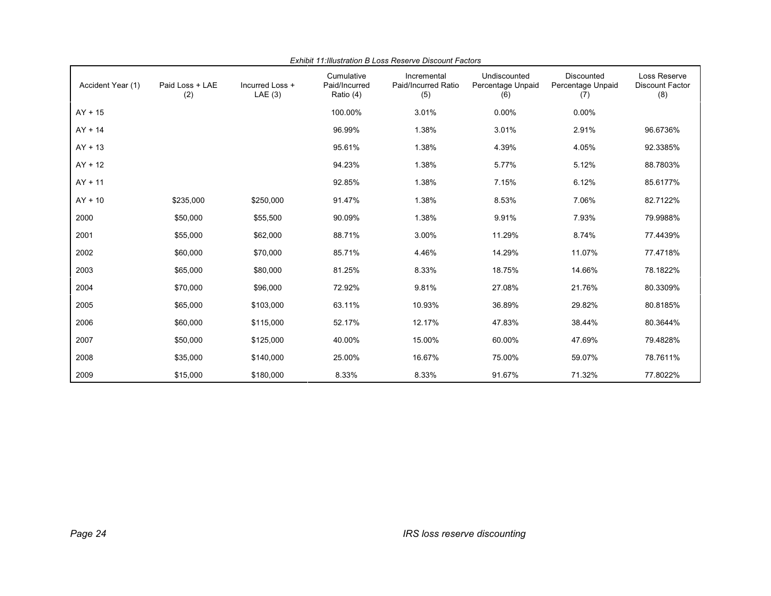| Accident Year (1) | Paid Loss + LAE<br>(2) | Incurred Loss +<br>LAE(3) | Cumulative<br>Paid/Incurred<br>Ratio (4) | Incremental<br>Paid/Incurred Ratio<br>(5) | Undiscounted<br>Percentage Unpaid<br>(6) | Discounted<br>Percentage Unpaid<br>(7) | Loss Reserve<br><b>Discount Factor</b><br>(8) |
|-------------------|------------------------|---------------------------|------------------------------------------|-------------------------------------------|------------------------------------------|----------------------------------------|-----------------------------------------------|
| $AY + 15$         |                        |                           | 100.00%                                  | 3.01%                                     | 0.00%                                    | 0.00%                                  |                                               |
| $AY + 14$         |                        |                           | 96.99%                                   | 1.38%                                     | 3.01%                                    | 2.91%                                  | 96.6736%                                      |
| $AY + 13$         |                        |                           | 95.61%                                   | 1.38%                                     | 4.39%                                    | 4.05%                                  | 92.3385%                                      |
| $AY + 12$         |                        |                           | 94.23%                                   | 1.38%                                     | 5.77%                                    | 5.12%                                  | 88.7803%                                      |
| $AY + 11$         |                        |                           | 92.85%                                   | 1.38%                                     | 7.15%                                    | 6.12%                                  | 85.6177%                                      |
| $AY + 10$         | \$235,000              | \$250,000                 | 91.47%                                   | 1.38%                                     | 8.53%                                    | 7.06%                                  | 82.7122%                                      |
| 2000              | \$50,000               | \$55,500                  | 90.09%                                   | 1.38%                                     | 9.91%                                    | 7.93%                                  | 79.9988%                                      |
| 2001              | \$55,000               | \$62,000                  | 88.71%                                   | 3.00%                                     | 11.29%                                   | 8.74%                                  | 77.4439%                                      |
| 2002              | \$60,000               | \$70,000                  | 85.71%                                   | 4.46%                                     | 14.29%                                   | 11.07%                                 | 77.4718%                                      |
| 2003              | \$65,000               | \$80,000                  | 81.25%                                   | 8.33%                                     | 18.75%                                   | 14.66%                                 | 78.1822%                                      |
| 2004              | \$70,000               | \$96,000                  | 72.92%                                   | 9.81%                                     | 27.08%                                   | 21.76%                                 | 80.3309%                                      |
| 2005              | \$65,000               | \$103,000                 | 63.11%                                   | 10.93%                                    | 36.89%                                   | 29.82%                                 | 80.8185%                                      |
| 2006              | \$60,000               | \$115,000                 | 52.17%                                   | 12.17%                                    | 47.83%                                   | 38.44%                                 | 80.3644%                                      |
| 2007              | \$50,000               | \$125,000                 | 40.00%                                   | 15.00%                                    | 60.00%                                   | 47.69%                                 | 79.4828%                                      |
| 2008              | \$35,000               | \$140,000                 | 25.00%                                   | 16.67%                                    | 75.00%                                   | 59.07%                                 | 78.7611%                                      |
| 2009              | \$15,000               | \$180,000                 | 8.33%                                    | 8.33%                                     | 91.67%                                   | 71.32%                                 | 77.8022%                                      |

*Exhibit 11:Illustration B Loss Reserve Discount Factors*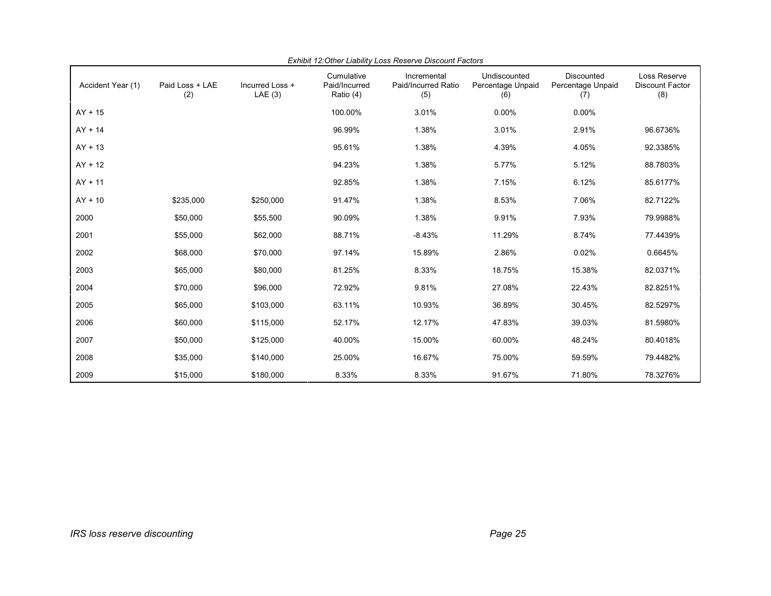| Accident Year (1) | Paid Loss + LAE<br>(2) | Incurred Loss +<br>LAE(3) | Cumulative<br>Paid/Incurred<br>Ratio (4) | Incremental<br>Paid/Incurred Ratio<br>(5) | Undiscounted<br>Percentage Unpaid<br>(6) | Discounted<br>Percentage Unpaid<br>(7) | Loss Reserve<br><b>Discount Factor</b><br>(8) |
|-------------------|------------------------|---------------------------|------------------------------------------|-------------------------------------------|------------------------------------------|----------------------------------------|-----------------------------------------------|
| $AY + 15$         |                        |                           | 100.00%                                  | 3.01%                                     | 0.00%                                    | 0.00%                                  |                                               |
| $AY + 14$         |                        |                           | 96.99%                                   | 1.38%                                     | 3.01%                                    | 2.91%                                  | 96.6736%                                      |
| $AY + 13$         |                        |                           | 95.61%                                   | 1.38%                                     | 4.39%                                    | 4.05%                                  | 92.3385%                                      |
| $AY + 12$         |                        |                           | 94.23%                                   | 1.38%                                     | 5.77%                                    | 5.12%                                  | 88.7803%                                      |
| $AY + 11$         |                        |                           | 92.85%                                   | 1.38%                                     | 7.15%                                    | 6.12%                                  | 85.6177%                                      |
| $AY + 10$         | \$235,000              | \$250,000                 | 91.47%                                   | 1.38%                                     | 8.53%                                    | 7.06%                                  | 82.7122%                                      |
| 2000              | \$50,000               | \$55,500                  | 90.09%                                   | 1.38%                                     | 9.91%                                    | 7.93%                                  | 79.9988%                                      |
| 2001              | \$55,000               | \$62,000                  | 88.71%                                   | $-8.43%$                                  | 11.29%                                   | 8.74%                                  | 77.4439%                                      |
| 2002              | \$68,000               | \$70,000                  | 97.14%                                   | 15.89%                                    | 2.86%                                    | 0.02%                                  | 0.6645%                                       |
| 2003              | \$65,000               | \$80,000                  | 81.25%                                   | 8.33%                                     | 18.75%                                   | 15.38%                                 | 82.0371%                                      |
| 2004              | \$70,000               | \$96,000                  | 72.92%                                   | 9.81%                                     | 27.08%                                   | 22.43%                                 | 82.8251%                                      |
| 2005              | \$65,000               | \$103,000                 | 63.11%                                   | 10.93%                                    | 36.89%                                   | 30.45%                                 | 82.5297%                                      |
| 2006              | \$60,000               | \$115,000                 | 52.17%                                   | 12.17%                                    | 47.83%                                   | 39.03%                                 | 81.5980%                                      |
| 2007              | \$50,000               | \$125,000                 | 40.00%                                   | 15.00%                                    | 60.00%                                   | 48.24%                                 | 80.4018%                                      |
| 2008              | \$35,000               | \$140,000                 | 25.00%                                   | 16.67%                                    | 75.00%                                   | 59.59%                                 | 79.4482%                                      |
| 2009              | \$15,000               | \$180,000                 | 8.33%                                    | 8.33%                                     | 91.67%                                   | 71.80%                                 | 78.3276%                                      |

*Exhibit 12:Other Liability Loss Reserve Discount Factors*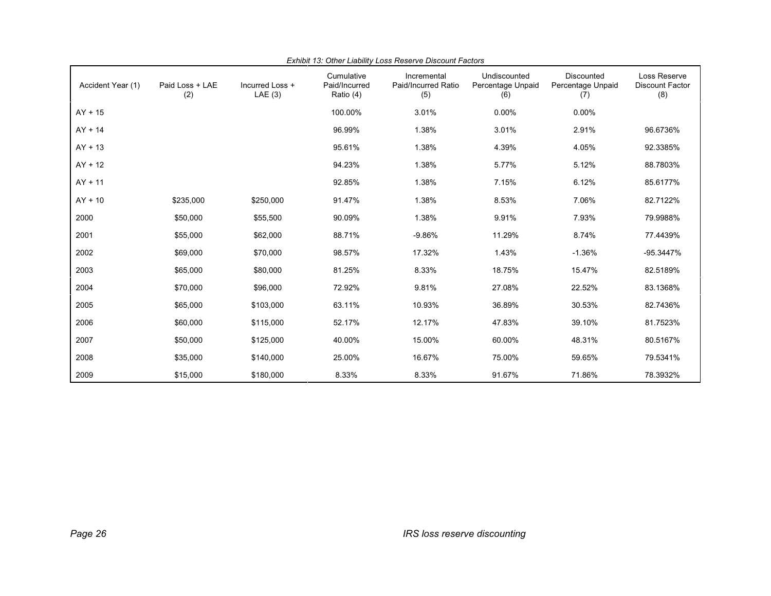| Accident Year (1) | Paid Loss + LAE<br>(2) | Incurred Loss +<br>LAE(3) | Cumulative<br>Paid/Incurred<br>Ratio (4) | Incremental<br>Paid/Incurred Ratio<br>(5) | Undiscounted<br>Percentage Unpaid<br>(6) | Discounted<br>Percentage Unpaid<br>(7) | Loss Reserve<br><b>Discount Factor</b><br>(8) |
|-------------------|------------------------|---------------------------|------------------------------------------|-------------------------------------------|------------------------------------------|----------------------------------------|-----------------------------------------------|
| $AY + 15$         |                        |                           | 100.00%                                  | 3.01%                                     | 0.00%                                    | 0.00%                                  |                                               |
| $AY + 14$         |                        |                           | 96.99%                                   | 1.38%                                     | 3.01%                                    | 2.91%                                  | 96.6736%                                      |
| $AY + 13$         |                        |                           | 95.61%                                   | 1.38%                                     | 4.39%                                    | 4.05%                                  | 92.3385%                                      |
| $AY + 12$         |                        |                           | 94.23%                                   | 1.38%                                     | 5.77%                                    | 5.12%                                  | 88.7803%                                      |
| $AY + 11$         |                        |                           | 92.85%                                   | 1.38%                                     | 7.15%                                    | 6.12%                                  | 85.6177%                                      |
| $AY + 10$         | \$235,000              | \$250,000                 | 91.47%                                   | 1.38%                                     | 8.53%                                    | 7.06%                                  | 82.7122%                                      |
| 2000              | \$50,000               | \$55,500                  | 90.09%                                   | 1.38%                                     | 9.91%                                    | 7.93%                                  | 79.9988%                                      |
| 2001              | \$55,000               | \$62,000                  | 88.71%                                   | $-9.86%$                                  | 11.29%                                   | 8.74%                                  | 77.4439%                                      |
| 2002              | \$69,000               | \$70,000                  | 98.57%                                   | 17.32%                                    | 1.43%                                    | $-1.36%$                               | $-95.3447%$                                   |
| 2003              | \$65,000               | \$80,000                  | 81.25%                                   | 8.33%                                     | 18.75%                                   | 15.47%                                 | 82.5189%                                      |
| 2004              | \$70,000               | \$96,000                  | 72.92%                                   | 9.81%                                     | 27.08%                                   | 22.52%                                 | 83.1368%                                      |
| 2005              | \$65,000               | \$103,000                 | 63.11%                                   | 10.93%                                    | 36.89%                                   | 30.53%                                 | 82.7436%                                      |
| 2006              | \$60,000               | \$115,000                 | 52.17%                                   | 12.17%                                    | 47.83%                                   | 39.10%                                 | 81.7523%                                      |
| 2007              | \$50,000               | \$125,000                 | 40.00%                                   | 15.00%                                    | 60.00%                                   | 48.31%                                 | 80.5167%                                      |
| 2008              | \$35,000               | \$140,000                 | 25.00%                                   | 16.67%                                    | 75.00%                                   | 59.65%                                 | 79.5341%                                      |
| 2009              | \$15,000               | \$180,000                 | 8.33%                                    | 8.33%                                     | 91.67%                                   | 71.86%                                 | 78.3932%                                      |

*Exhibit 13: Other Liability Loss Reserve Discount Factors*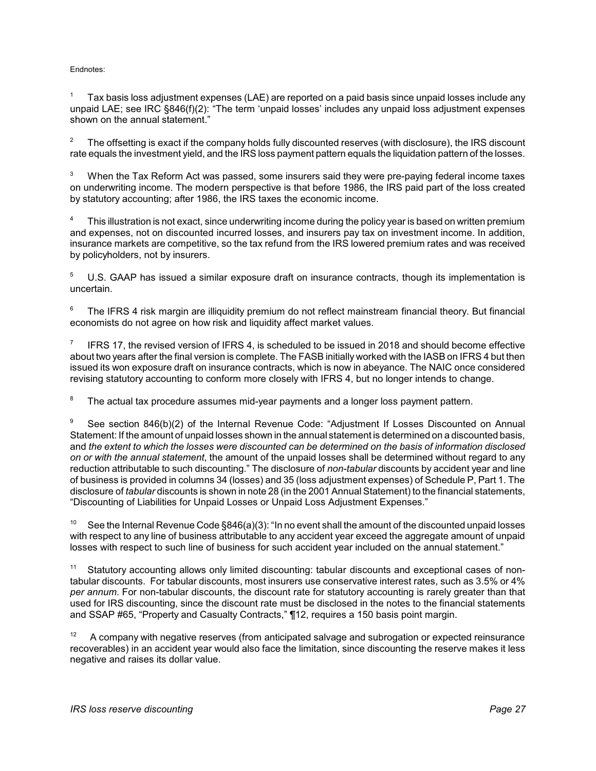#### Endnotes:

<sup>1</sup> Tax basis loss adjustment expenses (LAE) are reported on a paid basis since unpaid losses include any unpaid LAE; see IRC §846(f)(2): "The term 'unpaid losses' includes any unpaid loss adjustment expenses shown on the annual statement."

The offsetting is exact if the company holds fully discounted reserves (with disclosure), the IRS discount rate equals the investment yield, and the IRS loss payment pattern equals the liquidation pattern of the losses.

When the Tax Reform Act was passed, some insurers said they were pre-paying federal income taxes on underwriting income. The modern perspective is that before 1986, the IRS paid part of the loss created by statutory accounting; after 1986, the IRS taxes the economic income.

This illustration is not exact, since underwriting income during the policy year is based on written premium and expenses, not on discounted incurred losses, and insurers pay tax on investment income. In addition, insurance markets are competitive, so the tax refund from the IRS lowered premium rates and was received by policyholders, not by insurers.

U.S. GAAP has issued a similar exposure draft on insurance contracts, though its implementation is uncertain.

The IFRS 4 risk margin are illiquidity premium do not reflect mainstream financial theory. But financial economists do not agree on how risk and liquidity affect market values.

IFRS 17, the revised version of IFRS 4, is scheduled to be issued in 2018 and should become effective about two years after the final version is complete. The FASB initially worked with the IASB on IFRS 4 but then issued its won exposure draft on insurance contracts, which is now in abeyance. The NAIC once considered revising statutory accounting to conform more closely with IFRS 4, but no longer intends to change.

<sup>8</sup> The actual tax procedure assumes mid-year payments and a longer loss payment pattern.

See section 846(b)(2) of the Internal Revenue Code: "Adjustment If Losses Discounted on Annual Statement: If the amount of unpaid losses shown in the annual statement is determined on a discounted basis, and *the extent to which the losses were discounted can be determined on the basis of information disclosed on or with the annual statement*, the amount of the unpaid losses shall be determined without regard to any reduction attributable to such discounting." The disclosure of *non-tabular* discounts by accident year and line of business is provided in columns 34 (losses) and 35 (loss adjustment expenses) of Schedule P, Part 1. The disclosure of *tabular* discounts is shown in note 28 (in the 2001 AnnualStatement) to the financial statements, "Discounting of Liabilities for Unpaid Losses or Unpaid Loss Adjustment Expenses."

See the Internal Revenue Code §846(a)(3): "In no event shall the amount of the discounted unpaid losses with respect to any line of business attributable to any accident year exceed the aggregate amount of unpaid losses with respect to such line of business for such accident year included on the annual statement."

Statutory accounting allows only limited discounting: tabular discounts and exceptional cases of nontabular discounts. For tabular discounts, most insurers use conservative interest rates, such as 3.5% or 4% *per annum*. For non-tabular discounts, the discount rate for statutory accounting is rarely greater than that used for IRS discounting, since the discount rate must be disclosed in the notes to the financial statements and SSAP #65, "Property and Casualty Contracts," ¶12, requires a 150 basis point margin.

<sup>12</sup> A company with negative reserves (from anticipated salvage and subrogation or expected reinsurance recoverables) in an accident year would also face the limitation, since discounting the reserve makes it less negative and raises its dollar value.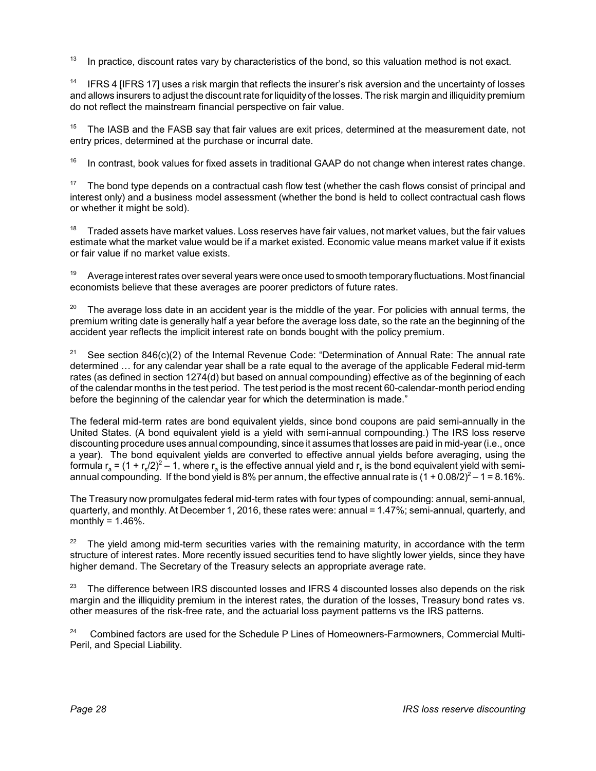$13$  In practice, discount rates vary by characteristics of the bond, so this valuation method is not exact.

<sup>14</sup> IFRS 4 [IFRS 17] uses a risk margin that reflects the insurer's risk aversion and the uncertainty of losses and allows insurers to adjust the discount rate for liquidityof the losses. The risk margin and illiquidity premium do not reflect the mainstream financial perspective on fair value.

 $15$  The IASB and the FASB say that fair values are exit prices, determined at the measurement date, not entry prices, determined at the purchase or incurral date.

 $16$  In contrast, book values for fixed assets in traditional GAAP do not change when interest rates change.

<sup>17</sup> The bond type depends on a contractual cash flow test (whether the cash flows consist of principal and interest only) and a business model assessment (whether the bond is held to collect contractual cash flows or whether it might be sold).

 $18$  Traded assets have market values. Loss reserves have fair values, not market values, but the fair values estimate what the market value would be if a market existed. Economic value means market value if it exists or fair value if no market value exists.

 $19$  Average interest rates over several years were once used to smooth temporary fluctuations. Most financial economists believe that these averages are poorer predictors of future rates.

The average loss date in an accident year is the middle of the year. For policies with annual terms, the premium writing date is generally half a year before the average loss date, so the rate an the beginning of the accident year reflects the implicit interest rate on bonds bought with the policy premium.

<sup>21</sup> See section 846(c)(2) of the Internal Revenue Code: "Determination of Annual Rate: The annual rate determined … for any calendar year shall be a rate equal to the average of the applicable Federal mid-term rates (as defined in section 1274(d) but based on annual compounding) effective as of the beginning of each of the calendar months in the test period. The test period is the most recent 60-calendar-month period ending before the beginning of the calendar year for which the determination is made."

The federal mid-term rates are bond equivalent yields, since bond coupons are paid semi-annually in the United States. (A bond equivalent yield is a yield with semi-annual compounding.) The IRS loss reserve discounting procedure uses annual compounding, since it assumes that losses are paid in mid-year (i.e., once a year). The bond equivalent yields are converted to effective annual yields before averaging, using the formula  $r_a = (1 + r_s/2)^2 - 1$ , where  $r_a$  is the effective annual yield and  $r_s$  is the bond equivalent yield with semiannual compounding. If the bond yield is 8% per annum, the effective annual rate is  $(1 + 0.08/2)^2 - 1 = 8.16\%$ .

The Treasury now promulgates federal mid-term rates with four types of compounding: annual, semi-annual, quarterly, and monthly. At December 1, 2016, these rates were: annual = 1.47%; semi-annual, quarterly, and monthly =  $1.46\%$ .

<sup>22</sup> The yield among mid-term securities varies with the remaining maturity, in accordance with the term structure of interest rates. More recently issued securities tend to have slightly lower yields, since they have higher demand. The Secretary of the Treasury selects an appropriate average rate.

<sup>23</sup> The difference between IRS discounted losses and IFRS 4 discounted losses also depends on the risk margin and the illiquidity premium in the interest rates, the duration of the losses, Treasury bond rates vs. other measures of the risk-free rate, and the actuarial loss payment patterns vs the IRS patterns.

<sup>24</sup> Combined factors are used for the Schedule P Lines of Homeowners-Farmowners, Commercial Multi-Peril, and Special Liability.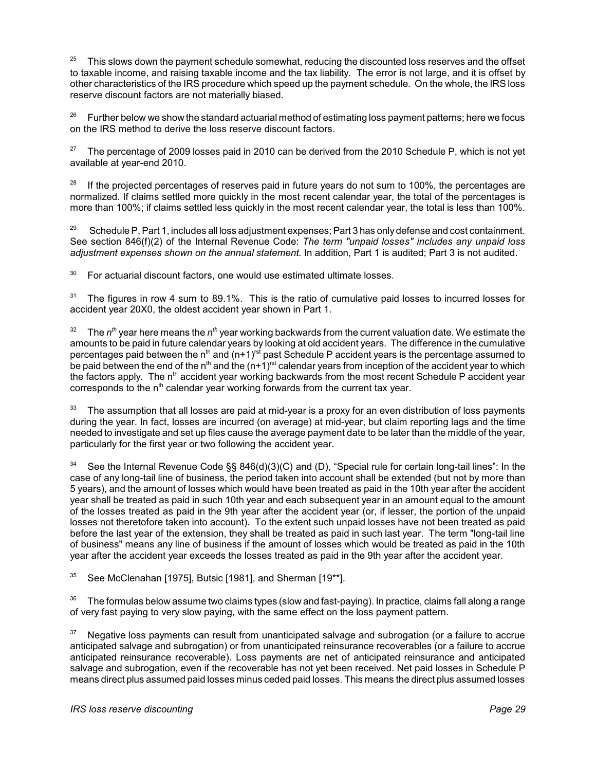$25$  This slows down the payment schedule somewhat, reducing the discounted loss reserves and the offset to taxable income, and raising taxable income and the tax liability. The error is not large, and it is offset by other characteristics of the IRS procedure which speed up the payment schedule. On the whole, the IRS loss reserve discount factors are not materially biased.

Further below we show the standard actuarial method of estimating loss payment patterns; here we focus on the IRS method to derive the loss reserve discount factors.

 $27$  The percentage of 2009 losses paid in 2010 can be derived from the 2010 Schedule P, which is not yet available at year-end 2010.

 $28$  If the projected percentages of reserves paid in future years do not sum to 100%, the percentages are normalized. If claims settled more quickly in the most recent calendar year, the total of the percentages is more than 100%; if claims settled less quickly in the most recent calendar year, the total is less than 100%.

<sup>29</sup> Schedule P, Part 1, includes all loss adjustment expenses; Part 3 has only defense and cost containment. See section 846(f)(2) of the Internal Revenue Code: *The term "unpaid losses" includes any unpaid loss adjustment expenses shown on the annual statement.* In addition, Part 1 is audited; Part 3 is not audited.

 $30$  For actuarial discount factors, one would use estimated ultimate losses.

<sup>31</sup> The figures in row 4 sum to 89.1%. This is the ratio of cumulative paid losses to incurred losses for accident year 20X0, the oldest accident year shown in Part 1.

<sup>32</sup> The  $n^{th}$  year here means the  $n^{th}$  year working backwards from the current valuation date. We estimate the amounts to be paid in future calendar years by looking at old accident years. The difference in the cumulative percentages paid between the n<sup>th</sup> and (n+1)<sup>rst</sup> past Schedule P accident years is the percentage assumed to be paid between the end of the n<sup>th</sup> and the  $(n+1)$ <sup>rst</sup> calendar years from inception of the accident year to which the factors apply. The n<sup>th</sup> accident year working backwards from the most recent Schedule P accident year corresponds to the  $n<sup>th</sup>$  calendar year working forwards from the current tax year.

The assumption that all losses are paid at mid-year is a proxy for an even distribution of loss payments during the year. In fact, losses are incurred (on average) at mid-year, but claim reporting lags and the time needed to investigate and set up files cause the average payment date to be later than the middle of the year, particularly for the first year or two following the accident year.

See the Internal Revenue Code §§ 846(d)(3)(C) and (D), "Special rule for certain long-tail lines": In the case of any long-tail line of business, the period taken into account shall be extended (but not by more than 5 years), and the amount of losses which would have been treated as paid in the 10th year after the accident year shall be treated as paid in such 10th year and each subsequent year in an amount equal to the amount of the losses treated as paid in the 9th year after the accident year (or, if lesser, the portion of the unpaid losses not theretofore taken into account). To the extent such unpaid losses have not been treated as paid before the last year of the extension, they shall be treated as paid in such last year. The term "long-tail line of business" means any line of business if the amount of losses which would be treated as paid in the 10th year after the accident year exceeds the losses treated as paid in the 9th year after the accident year.

 $35$  See McClenahan [1975], Butsic [1981], and Sherman [19\*\*].

 $36$  The formulas below assume two claims types (slow and fast-paying). In practice, claims fall along a range of very fast paying to very slow paying, with the same effect on the loss payment pattern.

<sup>37</sup> Negative loss payments can result from unanticipated salvage and subrogation (or a failure to accrue anticipated salvage and subrogation) or from unanticipated reinsurance recoverables (or a failure to accrue anticipated reinsurance recoverable). Loss payments are net of anticipated reinsurance and anticipated salvage and subrogation, even if the recoverable has not yet been received. Net paid losses in Schedule P means direct plus assumed paid losses minus ceded paid losses. This means the direct plus assumed losses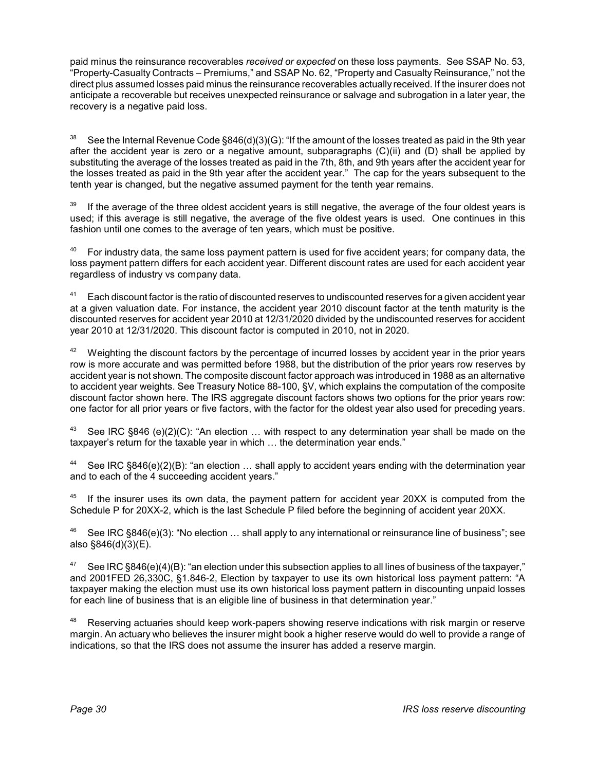paid minus the reinsurance recoverables *received or expected* on these loss payments. See SSAP No. 53, "Property-Casualty Contracts – Premiums," and SSAP No. 62, "Property and Casualty Reinsurance," not the direct plus assumed losses paid minus the reinsurance recoverables actually received. If the insurer does not anticipate a recoverable but receives unexpected reinsurance or salvage and subrogation in a later year, the recovery is a negative paid loss.

See the Internal Revenue Code §846(d)(3)(G): "If the amount of the losses treated as paid in the 9th year after the accident year is zero or a negative amount, subparagraphs (C)(ii) and (D) shall be applied by substituting the average of the losses treated as paid in the 7th, 8th, and 9th years after the accident year for the losses treated as paid in the 9th year after the accident year." The cap for the years subsequent to the tenth year is changed, but the negative assumed payment for the tenth year remains.

If the average of the three oldest accident years is still negative, the average of the four oldest years is used; if this average is still negative, the average of the five oldest years is used. One continues in this fashion until one comes to the average of ten years, which must be positive.

 $40$  For industry data, the same loss payment pattern is used for five accident years; for company data, the loss payment pattern differs for each accident year. Different discount rates are used for each accident year regardless of industry vs company data.

<sup>41</sup> Each discount factor is the ratio of discounted reserves to undiscounted reserves for a given accident year at a given valuation date. For instance, the accident year 2010 discount factor at the tenth maturity is the discounted reserves for accident year 2010 at 12/31/2020 divided by the undiscounted reserves for accident year 2010 at 12/31/2020. This discount factor is computed in 2010, not in 2020.

 $42$  Weighting the discount factors by the percentage of incurred losses by accident year in the prior years row is more accurate and was permitted before 1988, but the distribution of the prior years row reserves by accident year is not shown. The composite discount factor approach was introduced in 1988 as an alternative to accident year weights. See Treasury Notice 88-100, §V, which explains the computation of the composite discount factor shown here. The IRS aggregate discount factors shows two options for the prior years row: one factor for all prior years or five factors, with the factor for the oldest year also used for preceding years.

See IRC  $§846$  (e)(2)(C): "An election ... with respect to any determination year shall be made on the taxpayer's return for the taxable year in which … the determination year ends."

See IRC  $§846(e)(2)(B)$ : "an election ... shall apply to accident years ending with the determination year and to each of the 4 succeeding accident years."

<sup>45</sup> If the insurer uses its own data, the payment pattern for accident year 20XX is computed from the Schedule P for 20XX-2, which is the last Schedule P filed before the beginning of accident year 20XX.

See IRC §846(e)(3): "No election ... shall apply to any international or reinsurance line of business"; see also §846(d)(3)(E).

See IRC §846(e)(4)(B): "an election under this subsection applies to all lines of business of the taxpayer," and 2001FED 26,330C, §1.846-2, Election by taxpayer to use its own historical loss payment pattern: "A taxpayer making the election must use its own historical loss payment pattern in discounting unpaid losses for each line of business that is an eligible line of business in that determination year."

<sup>48</sup> Reserving actuaries should keep work-papers showing reserve indications with risk margin or reserve margin. An actuary who believes the insurer might book a higher reserve would do well to provide a range of indications, so that the IRS does not assume the insurer has added a reserve margin.